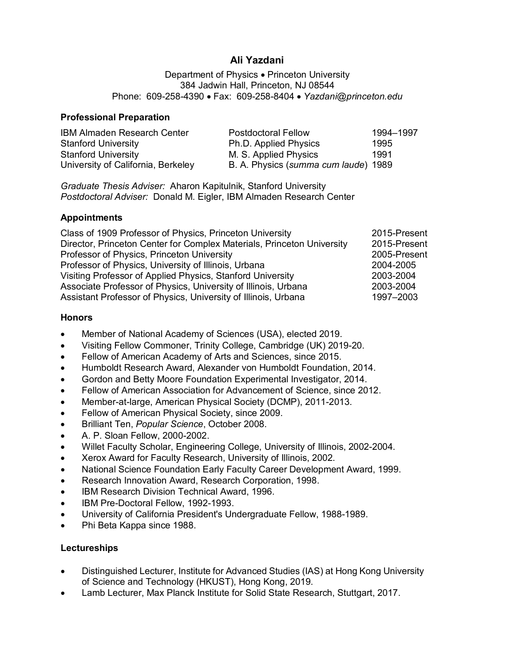# **Ali Yazdani**

Department of Physics • Princeton University 384 Jadwin Hall, Princeton, NJ 08544 Phone: 609-258-4390 • Fax: 609-258-8404 • *Yazdani@princeton.edu*

#### **Professional Preparation**

| <b>IBM Almaden Research Center</b> | <b>Postdoctoral Fellow</b>           | 1994-1997 |
|------------------------------------|--------------------------------------|-----------|
| <b>Stanford University</b>         | Ph.D. Applied Physics                | 1995      |
| <b>Stanford University</b>         | M. S. Applied Physics                | 1991      |
| University of California, Berkeley | B. A. Physics (summa cum laude) 1989 |           |

*Graduate Thesis Adviser:* Aharon Kapitulnik, Stanford University *Postdoctoral Adviser:* Donald M. Eigler, IBM Almaden Research Center

#### **Appointments**

| Class of 1909 Professor of Physics, Princeton University               | 2015-Present |
|------------------------------------------------------------------------|--------------|
| Director, Princeton Center for Complex Materials, Princeton University | 2015-Present |
| Professor of Physics, Princeton University                             | 2005-Present |
| Professor of Physics, University of Illinois, Urbana                   | 2004-2005    |
| Visiting Professor of Applied Physics, Stanford University             | 2003-2004    |
| Associate Professor of Physics, University of Illinois, Urbana         | 2003-2004    |
| Assistant Professor of Physics, University of Illinois, Urbana         | 1997-2003    |

#### **Honors**

- Member of National Academy of Sciences (USA), elected 2019.
- Visiting Fellow Commoner, Trinity College, Cambridge (UK) 2019-20.
- Fellow of American Academy of Arts and Sciences, since 2015.
- Humboldt Research Award, Alexander von Humboldt Foundation, 2014.
- Gordon and Betty Moore Foundation Experimental Investigator, 2014.
- Fellow of American Association for Advancement of Science, since 2012.
- Member-at-large, American Physical Society (DCMP), 2011-2013.
- Fellow of American Physical Society, since 2009.
- Brilliant Ten, *Popular Science*, October 2008.
- A. P. Sloan Fellow, 2000-2002.
- Willet Faculty Scholar, Engineering College, University of Illinois, 2002-2004.
- Xerox Award for Faculty Research, University of Illinois, 2002.
- National Science Foundation Early Faculty Career Development Award, 1999.
- Research Innovation Award, Research Corporation, 1998.
- IBM Research Division Technical Award, 1996.
- IBM Pre-Doctoral Fellow, 1992-1993.
- University of California President's Undergraduate Fellow, 1988-1989.
- Phi Beta Kappa since 1988.

#### **Lectureships**

- Distinguished Lecturer, Institute for Advanced Studies (IAS) at Hong Kong University of Science and Technology (HKUST), Hong Kong, 2019.
- Lamb Lecturer, Max Planck Institute for Solid State Research, Stuttgart, 2017.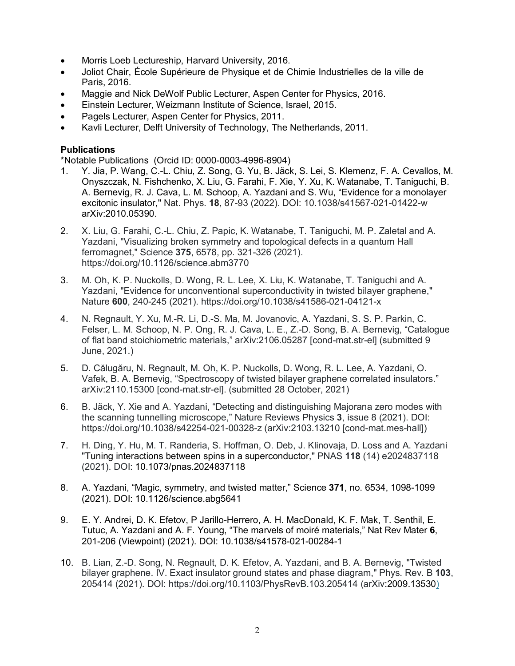- Morris Loeb Lectureship, Harvard University, 2016.
- Joliot Chair, École Supérieure de Physique et de Chimie Industrielles de la ville de Paris, 2016.
- Maggie and Nick DeWolf Public Lecturer, Aspen Center for Physics, 2016.
- Einstein Lecturer, Weizmann Institute of Science, Israel, 2015.
- Pagels Lecturer, Aspen Center for Physics, 2011.
- Kavli Lecturer, Delft University of Technology, The Netherlands, 2011.

## **Publications**

\*Notable Publications (Orcid ID: 0000-0003-4996-8904)

- 1. Y. Jia, P. Wang, C.-L. Chiu, Z. Song, G. Yu, B. Jäck, S. Lei, S. Klemenz, F. A. Cevallos, M. Onyszczak, N. Fishchenko, X. Liu, G. Farahi, F. Xie, Y. Xu, K. Watanabe, T. Taniguchi, B. A. Bernevig, R. J. Cava, L. M. Schoop, A. Yazdani and S. Wu, "Evidence for a monolayer excitonic insulator," Nat. Phys. **18**, 87-93 (2022). DOI: 10.1038/s41567-021-01422-w arXiv:2010.05390.
- 2. X. Liu, G. Farahi, C.-L. Chiu, Z. Papic, K. Watanabe, T. Taniguchi, M. P. Zaletal and A. Yazdani, ["Visualizing broken symmetry and topological defects in a quantum Hall](https://www.science.org/doi/10.1126/science.abm3770)  [ferromagnet,](https://www.science.org/doi/10.1126/science.abm3770)" Science **375**, 6578, pp. 321-326 (2021). https://doi.org/10.1126/science.abm3770
- 3. M. Oh, K. P. Nuckolls, D. Wong, R. L. Lee, X. Liu, K. Watanabe, T. Taniguchi and A. Yazdani, ["Evidence for unconventional superconductivity in twisted bilayer graphene,"](https://www.nature.com/articles/s41586-021-04121-x) Nature **600**, 240-245 (2021). https://doi.org/10.1038/s41586-021-04121-x
- 4. [N. Regnault,](https://arxiv.org/search/?searchtype=author&query=Regnault%2C+N) [Y. Xu,](https://arxiv.org/search/?searchtype=author&query=Xu%2C+Y) [M.-R. Li,](https://arxiv.org/search/?searchtype=author&query=Li%2C+M) [D.-S. Ma,](https://arxiv.org/search/?searchtype=author&query=Ma%2C+D) [M. Jovanovic,](https://arxiv.org/search/?searchtype=author&query=Jovanovic%2C+M) [A. Yazdani,](https://arxiv.org/search/?searchtype=author&query=Yazdani%2C+A) [S. S. P. Parkin,](https://arxiv.org/search/?searchtype=author&query=Parkin%2C+S+S+P) [C.](https://arxiv.org/search/?searchtype=author&query=Felser%2C+C)  [Felser,](https://arxiv.org/search/?searchtype=author&query=Felser%2C+C) [L. M. Schoop,](https://arxiv.org/search/?searchtype=author&query=Schoop%2C+L+M) [N. P. Ong,](https://arxiv.org/search/?searchtype=author&query=Ong%2C+N+P) [R. J. Cava,](https://arxiv.org/search/?searchtype=author&query=Cava%2C+R+J) [L. E.,](https://arxiv.org/search/?searchtype=author&query=Elcoro%2C+L) [Z.-D. Song,](https://arxiv.org/search/?searchtype=author&query=Song%2C+Z) [B. A. Bernevig,](https://arxiv.org/search/?searchtype=author&query=Bernevig%2C+B+A) "Catalogue of flat band stoichiometric materials," [arXiv:2106.05287](https://arxiv.org/abs/2106.05287) [cond-mat.str-el] (submitted 9 June, 2021.)
- 5. D. [Călugăru](https://arxiv.org/search/?searchtype=author&query=C%C4%83lug%C4%83ru%2C+D), [N. Regnault,](https://arxiv.org/search/?searchtype=author&query=Regnault%2C+N) [M. Oh,](https://arxiv.org/search/?searchtype=author&query=Oh%2C+M) [K. P. Nuckolls,](https://arxiv.org/search/?searchtype=author&query=Nuckolls%2C+K+P) [D. Wong,](https://arxiv.org/search/?searchtype=author&query=Wong%2C+D) [R. L. Lee,](https://arxiv.org/search/?searchtype=author&query=Lee%2C+R+L) [A. Yazdani,](https://arxiv.org/search/?searchtype=author&query=Yazdani%2C+A) [O.](https://arxiv.org/search/?searchtype=author&query=Vafek%2C+O)  [Vafek,](https://arxiv.org/search/?searchtype=author&query=Vafek%2C+O) [B. A. Bernevig,](https://arxiv.org/search/?searchtype=author&query=Bernevig%2C+B+A) "Spectroscopy of twisted bilayer graphene correlated insulators." arXiv:2110.15300 [cond-mat.str-el]. (submitted 28 October, 2021)
- 6. B. Jäck, Y. Xie and A. Yazdani, "Detecting and distinguishing Majorana zero modes with the scanning tunnelling microscope," Nature Reviews Physics **3**, issue 8 (2021). DOI: https://doi.org/10.1038/s42254-021-00328-z (arXiv:2103.13210 [cond-mat.mes-hall])
- 7. H. Ding, Y. Hu, M. T. Randeria, S. Hoffman, O. Deb, J. Klinovaja, D. Loss and A. Yazdani "Tuning interactions between spins in a superconductor," PNAS **118** (14) e2024837118 (2021). DOI: 10.1073/pnas.2024837118
- 8. A. Yazdani, "Magic, symmetry, and twisted matter," Science **371**, no. 6534, 1098-1099 (2021). DOI: 10.1126/science.abg5641
- 9. E. Y. Andrei, D. K. Efetov, P Jarillo-Herrero, A. H. MacDonald, K. F. Mak, T. Senthil, E. Tutuc, A. Yazdani and A. F. Young, "The marvels of moiré materials," Nat Rev Mater **6**, 201-206 (Viewpoint) (2021). DOI: 10.1038/s41578-021-00284-1
- 10. B. Lian, Z.-D. Song, N. Regnault, D. K. Efetov, A. Yazdani, and B. A. Bernevig, "Twisted bilayer graphene. IV. Exact insulator ground states and phase diagram," Phys. Rev. B **103**, 205414 (2021). DOI: https://doi.org/10.1103/PhysRevB.103.205414 (arXiv:2009.13530)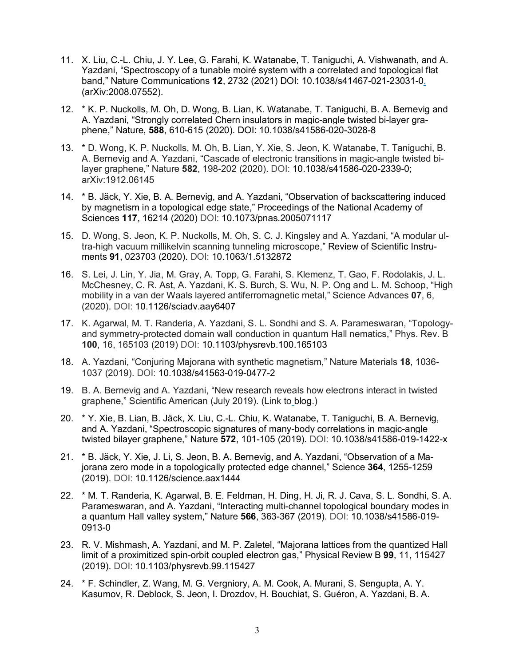- 11. X. Liu, C.-L. Chiu, J. Y. Lee, G. Farahi, K. Watanabe, T. Taniguchi, A. Vishwanath, and A. Yazdani, "Spectroscopy of a tunable moiré system with a correlated and topological flat band," Nature Communications **12**, 2732 (2021) DOI: 10.1038/s41467-021-23031-0. (arXiv:2008.07552).
- 12. \* K. P. Nuckolls, M. Oh, D. Wong, B. Lian, K. Watanabe, T. Taniguchi, B. A. Bernevig and A. Yazdani, "Strongly correlated Chern insulators in magic-angle twisted bi-layer graphene," Nature, **588**, 610-615 (2020). DOI: 10.1038/s41586-020-3028-8
- 13. \* D. Wong, K. P. Nuckolls, M. Oh, B. Lian, Y. Xie, S. Jeon, K. Watanabe, T. Taniguchi, B. A. Bernevig and A. Yazdani, "Cascade of electronic transitions in magic-angle twisted bilayer graphene," Nature **582**, 198-202 (2020). DOI: 10.1038/s41586-020-2339-0; arXiv:1912.06145
- 14. \* B. Jäck, Y. Xie, B. A. Bernevig, and A. Yazdani, "Observation of backscattering induced by magnetism in a topological edge state," Proceedings of the National Academy of Sciences **117**, 16214 (2020) DOI: 10.1073/pnas.2005071117
- 15. D. Wong, S. Jeon, K. P. Nuckolls, M. Oh, S. C. J. Kingsley and A. Yazdani, "A modular ultra-high vacuum millikelvin scanning tunneling microscope," Review of Scientific Instruments **91**, 023703 (2020). DOI: 10.1063/1.5132872
- 16. S. Lei, J. Lin, Y. Jia, M. Gray, A. Topp, G. Farahi, S. Klemenz, T. Gao, F. Rodolakis, J. L. McChesney, C. R. Ast, A. Yazdani, K. S. Burch, S. Wu, N. P. Ong and L. M. Schoop, "High mobility in a van der Waals layered antiferromagnetic metal," Science Advances **07**, 6, (2020). DOI: 10.1126/sciadv.aay6407
- 17. K. Agarwal, M. T. Randeria, A. Yazdani, S. L. Sondhi and S. A. Parameswaran, "Topologyand symmetry-protected domain wall conduction in quantum Hall nematics," Phys. Rev. B **100**, 16, 165103 (2019) DOI: 10.1103/physrevb.100.165103
- 18. A. Yazdani, "Conjuring Majorana with synthetic magnetism," Nature Materials **18**, 1036- 1037 (2019). DOI: 10.1038/s41563-019-0477-2
- 19. B. A. Bernevig and A. Yazdani, "New research reveals how electrons interact in twisted graphene," Scientific American (July 2019). (Link to blog.)
- 20. \* Y. Xie, B. Lian, B. Jäck, X. Liu, C.-L. Chiu, K. Watanabe, T. Taniguchi, B. A. Bernevig, and A. Yazdani, "Spectroscopic signatures of many-body correlations in magic-angle twisted bilayer graphene," Nature **572**, 101-105 (2019). DOI: 10.1038/s41586-019-1422-x
- 21. \* B. Jäck, Y. Xie, J. Li, S. Jeon, B. A. Bernevig, and A. Yazdani, "Observation of a Majorana zero mode in a topologically protected edge channel," Science **364**, 1255-1259 (2019). DOI: 10.1126/science.aax1444
- 22. \* M. T. Randeria, K. Agarwal, B. E. Feldman, H. Ding, H. Ji, R. J. Cava, S. L. Sondhi, S. A. Parameswaran, and A. Yazdani, "Interacting multi-channel topological boundary modes in a quantum Hall valley system," Nature **566**, 363-367 (2019). DOI: 10.1038/s41586-019- 0913-0
- 23. R. V. Mishmash, A. Yazdani, and M. P. Zaletel, "Majorana lattices from the quantized Hall limit of a proximitized spin-orbit coupled electron gas," Physical Review B **99**, 11, 115427 (2019). DOI: 10.1103/physrevb.99.115427
- 24. \* F. Schindler, Z. Wang, M. G. Vergniory, A. M. Cook, A. Murani, S. Sengupta, A. Y. Kasumov, R. Deblock, S. Jeon, I. Drozdov, H. Bouchiat, S. Guéron, A. Yazdani, B. A.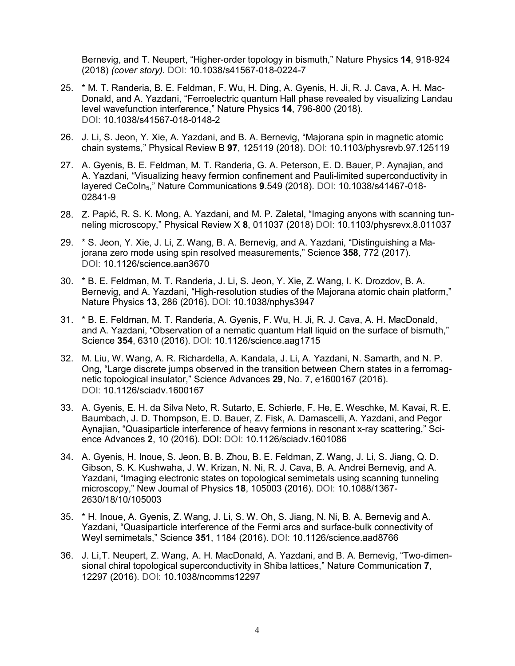Bernevig, and T. Neupert, "Higher-order topology in bismuth," Nature Physics **14**, 918-924 (2018) *(cover story).* DOI: 10.1038/s41567-018-0224-7

- 25. \* M. T. Randeria, B. E. Feldman, F. Wu, H. Ding, A. Gyenis, H. Ji, R. J. Cava, A. H. Mac-Donald, and A. Yazdani, "Ferroelectric quantum Hall phase revealed by visualizing Landau level wavefunction interference," Nature Physics **14**, 796-800 (2018). DOI: 10.1038/s41567-018-0148-2
- 26. J. Li, S. Jeon, Y. Xie, A. Yazdani, and B. A. Bernevig, "Majorana spin in magnetic atomic chain systems," Physical Review B **97**, 125119 (2018). DOI: 10.1103/physrevb.97.125119
- 27. A. Gyenis, B. E. Feldman, M. T. Randeria, G. A. Peterson, E. D. Bauer, P. Aynajian, and A. Yazdani, "Visualizing heavy fermion confinement and Pauli-limited superconductivity in layered CeCoIn5," Nature Communications **9**.549 (2018). DOI: 10.1038/s41467-018- 02841-9
- 28. Z. Papić, R. S. K. Mong, A. Yazdani, and M. P. Zaletal, "Imaging anyons with scanning tunneling microscopy," Physical Review X **8**, 011037 (2018) DOI: 10.1103/physrevx.8.011037
- 29. \* S. Jeon, Y. Xie, J. Li, Z. Wang, B. A. Bernevig, and A. Yazdani, "Distinguishing a Majorana zero mode using spin resolved measurements," Science **358**, 772 (2017). DOI: 10.1126/science.aan3670
- 30. \* B. E. Feldman, M. T. Randeria, J. Li, S. Jeon, Y. Xie, Z. Wang, I. K. Drozdov, B. A. Bernevig, and A. Yazdani, "High-resolution studies of the Majorana atomic chain platform," Nature Physics **13**, 286 (2016). DOI: 10.1038/nphys3947
- 31. \* B. E. Feldman, M. T. Randeria, A. Gyenis, F. Wu, H. Ji, R. J. Cava, A. H. MacDonald, and A. Yazdani, "Observation of a nematic quantum Hall liquid on the surface of bismuth," Science **354**, 6310 (2016). DOI: 10.1126/science.aag1715
- 32. M. Liu, W. Wang, A. R. Richardella, A. Kandala, J. Li, A. Yazdani, N. Samarth, and N. P. Ong, "Large discrete jumps observed in the transition between Chern states in a ferromagnetic topological insulator," Science Advances **29**, No. 7, e1600167 (2016). DOI: 10.1126/sciadv.1600167
- 33. A. Gyenis, E. H. da Silva Neto, R. Sutarto, E. Schierle, F. He, E. Weschke, M. Kavai, R. E. Baumbach, J. D. Thompson, E. D. Bauer, Z. Fisk, A. Damascelli, A. Yazdani, and Pegor Aynajian, "Quasiparticle interference of heavy fermions in resonant x-ray scattering," Science Advances **2**, 10 (2016). DOI: DOI: 10.1126/sciadv.1601086
- 34. A. Gyenis, H. Inoue, S. Jeon, B. B. Zhou, B. E. Feldman, Z. Wang, J. Li, S. Jiang, Q. D. Gibson, S. K. Kushwaha, J. W. Krizan, N. Ni, R. J. Cava, B. A. Andrei Bernevig, and A. Yazdani, "Imaging electronic states on topological semimetals using scanning tunneling microscopy," New Journal of Physics **18**, 105003 (2016). DOI: 10.1088/1367- 2630/18/10/105003
- 35. \* H. Inoue, A. Gyenis, Z. Wang, J. Li, S. W. Oh, S. Jiang, N. Ni, B. A. Bernevig and A. Yazdani, "Quasiparticle interference of the Fermi arcs and surface-bulk connectivity of Weyl semimetals," Science **351**, 1184 (2016). DOI: 10.1126/science.aad8766
- 36. J. Li,T. Neupert, Z. Wang, A. H. MacDonald, A. Yazdani, and B. A. Bernevig, "Two-dimensional chiral topological superconductivity in Shiba lattices," Nature Communication **7**, 12297 (2016). DOI: 10.1038/ncomms12297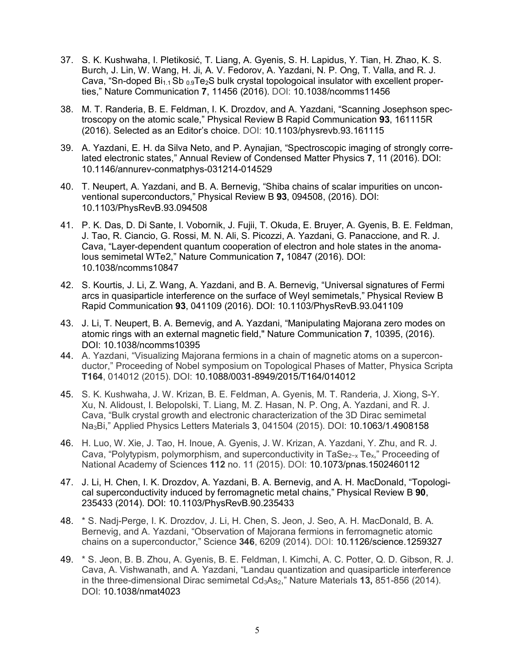- 37. S. K. Kushwaha, I. Pletikosić, T. Liang, A. Gyenis, S. H. Lapidus, Y. Tian, H. Zhao, K. S. Burch, J. Lin, W. Wang, H. Ji, A. V. Fedorov, A. Yazdani, N. P. Ong, T. Valla, and R. J. Cava, "Sn-doped  $Bi_{1.1}$  Sb  $_{0.9}$ Te<sub>2</sub>S bulk crystal topologoical insulator with excellent properties," Nature Communication **7**, 11456 (2016). DOI: 10.1038/ncomms11456
- 38. M. T. Randeria, B. E. Feldman, I. K. Drozdov, and A. Yazdani, "Scanning Josephson spectroscopy on the atomic scale," Physical Review B Rapid Communication **93**, 161115R (2016). Selected as an Editor's choice. DOI: 10.1103/physrevb.93.161115
- 39. A. Yazdani, E. H. da Silva Neto, and P. Aynajian, "Spectroscopic imaging of strongly correlated electronic states," Annual Review of Condensed Matter Physics **7**, 11 (2016). DOI: 10.1146/annurev-conmatphys-031214-014529
- 40. T. Neupert, A. Yazdani, and B. A. Bernevig, "Shiba chains of scalar impurities on unconventional superconductors," Physical Review B **93**, 094508, (2016). DOI: 10.1103/PhysRevB.93.094508
- 41. P. K. Das, D. Di Sante, I. Vobornik, J. Fujii, T. Okuda, E. Bruyer, A. Gyenis, B. E. Feldman, J. Tao, R. Ciancio, G. Rossi, M. N. Ali, S. Picozzi, A. Yazdani, G. Panaccione, and R. J. Cava, "Layer-dependent quantum cooperation of electron and hole states in the anomalous semimetal WTe2," Nature Communication **7,** 10847 (2016). DOI: 10.1038/ncomms10847
- 42. S. Kourtis, J. Li, Z. Wang, A. Yazdani, and B. A. Bernevig, "Universal signatures of Fermi arcs in quasiparticle interference on the surface of Weyl semimetals," Physical Review B Rapid Communication **93**, 041109 (2016). DOI: 10.1103/PhysRevB.93.041109
- 43. J. Li, T. Neupert, B. A. Bernevig, and A. Yazdani, "Manipulating Majorana zero modes on atomic rings with an external magnetic field," Nature Communication **7**, 10395, (2016). DOI: 10.1038/ncomms10395
- 44. A. Yazdani, "Visualizing Majorana fermions in a chain of magnetic atoms on a superconductor," Proceeding of Nobel symposium on Topological Phases of Matter, Physica Scripta **T164**, 014012 (2015). DOI: 10.1088/0031-8949/2015/T164/014012
- 45. S. K. Kushwaha, J. W. Krizan, B. E. Feldman, A. Gyenis, M. T. Randeria, J. Xiong, S-Y. Xu, N. Alidoust, I. Belopolski, T. Liang, M. Z. Hasan, N. P. Ong, A. Yazdani, and R. J. Cava, "Bulk crystal growth and electronic characterization of the 3D Dirac semimetal Na3Bi," Applied Physics Letters Materials **3**, 041504 (2015). DOI: 10.1063/1.4908158
- 46. H. Luo, W. Xie, J. Tao, H. Inoue, A. Gyenis, J. W. Krizan, A. Yazdani, Y. Zhu, and R. J. Cava, "Polytypism, polymorphism, and superconductivity in TaSe<sub>2−x</sub> Te<sub>x</sub>," Proceeding of National Academy of Sciences **112** no. 11 (2015). DOI: 10.1073/pnas.1502460112
- 47. J. Li, H. Chen, I. K. Drozdov, A. Yazdani, B. A. Bernevig, and A. H. MacDonald, "Topological superconductivity induced by ferromagnetic metal chains," Physical Review B **90**, 235433 (2014). DOI: 10.1103/PhysRevB.90.235433
- 48. \* S. Nadj-Perge, I. K. Drozdov, J. Li, H. Chen, S. Jeon, J. Seo, A. H. MacDonald, B. A. Bernevig, and A. Yazdani, "Observation of Majorana fermions in ferromagnetic atomic chains on a superconductor," Science **346**, 6209 (2014). DOI: 10.1126/science.1259327
- 49. \* S. Jeon, B. B. Zhou, A. Gyenis, B. E. Feldman, I. Kimchi, A. C. Potter, Q. D. Gibson, R. J. Cava, A. Vishwanath, and A. Yazdani, "Landau quantization and quasiparticle interference in the three-dimensional Dirac semimetal Cd<sub>3</sub>As<sub>2</sub>," Nature Materials **13**, 851-856 (2014). DOI: 10.1038/nmat4023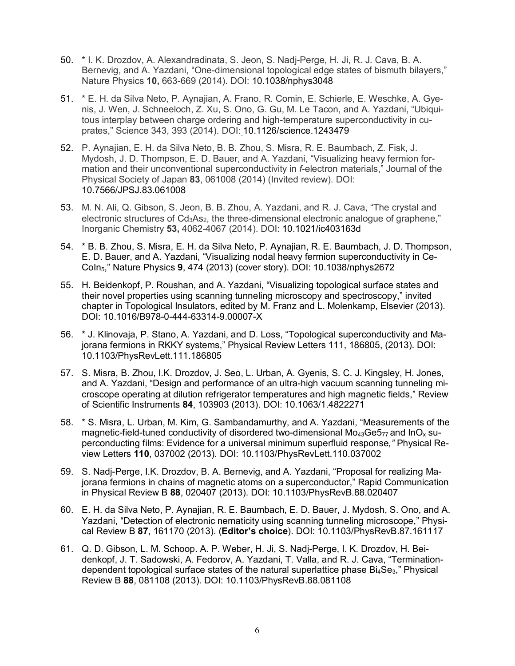- 50. \* I. K. Drozdov, A. Alexandradinata, S. Jeon, S. Nadj-Perge, H. Ji, R. J. Cava, B. A. Bernevig, and A. Yazdani, "One-dimensional topological edge states of bismuth bilayers," Nature Physics **10,** 663-669 (2014). DOI: 10.1038/nphys3048
- 51. \* E. H. da Silva Neto, P. Aynajian, A. Frano, R. Comin, E. Schierle, E. Weschke, A. Gyenis, J. Wen, J. Schneeloch, Z. Xu, S. Ono, G. Gu, M. Le Tacon, and A. Yazdani, "Ubiquitous interplay between charge ordering and high-temperature superconductivity in cuprates," Science 343, 393 (2014). DOI: 10.1126/science.1243479
- 52. P. Aynajian, E. H. da Silva Neto, B. B. Zhou, S. Misra, R. E. Baumbach, Z. Fisk, J. Mydosh, J. D. Thompson, E. D. Bauer, and A. Yazdani, "Visualizing heavy fermion formation and their unconventional superconductivity in *f*-electron materials," Journal of the Physical Society of Japan **83**, 061008 (2014) (Invited review). DOI: 10.7566/JPSJ.83.061008
- 53. M. N. Ali, Q. Gibson, S. Jeon, B. B. Zhou, A. Yazdani, and R. J. Cava, "The crystal and electronic structures of Cd<sub>3</sub>As<sub>2</sub>, the three-dimensional electronic analogue of graphene," Inorganic Chemistry **53,** 4062-4067 (2014). DOI: 10.1021/ic403163d
- 54. \* B. B. Zhou, S. Misra, E. H. da Silva Neto, P. Aynajian, R. E. Baumbach, J. D. Thompson, E. D. Bauer, and A. Yazdani, "Visualizing nodal heavy fermion superconductivity in Ce-CoIn5," Nature Physics **9**, 474 (2013) (cover story). DOI: 10.1038/nphys2672
- 55. H. Beidenkopf, P. Roushan, and A. Yazdani, "Visualizing topological surface states and their novel properties using scanning tunneling microscopy and spectroscopy," invited chapter in Topological Insulators, edited by M. Franz and L. Molenkamp, Elsevier (2013). DOI: 10.1016/B978-0-444-63314-9.00007-X
- 56. \* J. Klinovaja, P. Stano, A. Yazdani, and D. Loss, "Topological superconductivity and Majorana fermions in RKKY systems," Physical Review Letters 111, 186805, (2013). DOI: 10.1103/PhysRevLett.111.186805
- 57. S. Misra, B. Zhou, I.K. Drozdov, J. Seo, L. Urban, A. Gyenis, S. C. J. Kingsley, H. Jones, and A. Yazdani, "Design and performance of an ultra-high vacuum scanning tunneling microscope operating at dilution refrigerator temperatures and high magnetic fields," Review of Scientific Instruments **84**, 103903 (2013). DOI: 10.1063/1.4822271
- 58. \* S. Misra, L. Urban, M. Kim, G. Sambandamurthy, and A. Yazdani, "Measurements of the magnetic-field-tuned conductivity of disordered two-dimensional  $Mo<sub>43</sub>Ge<sub>77</sub>$  and  $InO<sub>x</sub>$  superconducting films: Evidence for a universal minimum superfluid response*,"* Physical Review Letters **110**, 037002 (2013). DOI: 10.1103/PhysRevLett.110.037002
- 59. S. Nadj-Perge, I.K. Drozdov, B. A. Bernevig, and A. Yazdani, "Proposal for realizing Majorana fermions in chains of magnetic atoms on a superconductor," Rapid Communication in Physical Review B **88**, 020407 (2013). DOI: 10.1103/PhysRevB.88.020407
- 60. E. H. da Silva Neto, P. Aynajian, R. E. Baumbach, E. D. Bauer, J. Mydosh, S. Ono, and A. Yazdani, "Detection of electronic nematicity using scanning tunneling microscope," Physical Review B **87**, 161170 (2013). (**Editor's choice**). DOI: 10.1103/PhysRevB.87.161117
- 61. Q. D. Gibson, L. M. Schoop. A. P. Weber, H. Ji, S. Nadj-Perge, I. K. Drozdov, H. Beidenkopf, J. T. Sadowski, A. Fedorov, A. Yazdani, T. Valla, and R. J. Cava, "Terminationdependent topological surface states of the natural superlattice phase  $Bi_4Se_3$ ," Physical Review B **88**, 081108 (2013). DOI: 10.1103/PhysRevB.88.081108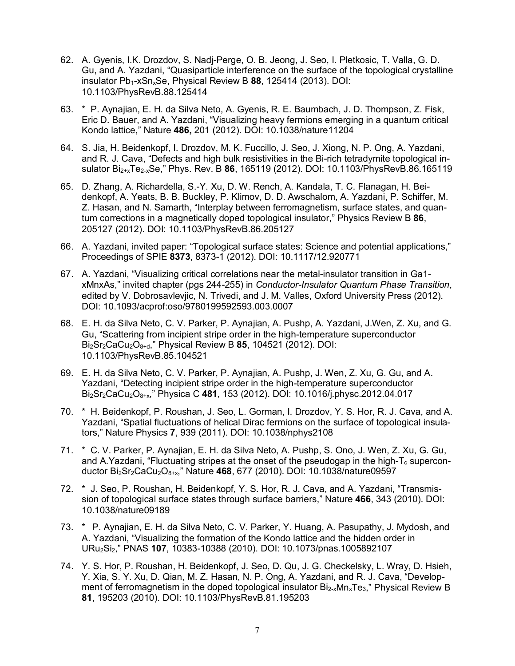- 62. A. Gyenis, I.K. Drozdov, S. Nadj-Perge, O. B. Jeong, J. Seo, I. Pletkosic, T. Valla, G. D. Gu, and A. Yazdani, "Quasiparticle interference on the surface of the topological crystalline insulator Pb<sub>1</sub>-xSn<sub>x</sub>Se, Physical Review B 88, 125414 (2013). DOI: 10.1103/PhysRevB.88.125414
- 63. \* P. Aynajian, E. H. da Silva Neto, A. Gyenis, R. E. Baumbach, J. D. Thompson, Z. Fisk, Eric D. Bauer, and A. Yazdani, "Visualizing heavy fermions emerging in a quantum critical Kondo lattice," Nature **486,** 201 (2012). DOI: 10.1038/nature11204
- 64. S. Jia, H. Beidenkopf, I. Drozdov, M. K. Fuccillo, J. Seo, J. Xiong, N. P. Ong, A. Yazdani, and R. J. Cava, "Defects and high bulk resistivities in the Bi-rich tetradymite topological insulator Bi2+xTe2-xSe," Phys. Rev. B **86**, 165119 (2012). DOI: 10.1103/PhysRevB.86.165119
- 65. D. Zhang, A. Richardella, S.-Y. Xu, D. W. Rench, A. Kandala, T. C. Flanagan, H. Beidenkopf, A. Yeats, B. B. Buckley, P. Klimov, D. D. Awschalom, A. Yazdani, P. Schiffer, M. Z. Hasan, and N. Samarth, "Interplay between ferromagnetism, surface states, and quantum corrections in a magnetically doped topological insulator," Physics Review B **86**, 205127 (2012). DOI: 10.1103/PhysRevB.86.205127
- 66. A. Yazdani, invited paper: "Topological surface states: Science and potential applications," Proceedings of SPIE **8373**, 8373-1 (2012). DOI: 10.1117/12.920771
- 67. A. Yazdani, "Visualizing critical correlations near the metal-insulator transition in Ga1 xMnxAs," invited chapter (pgs 244-255) in *Conductor-Insulator Quantum Phase Transition*, edited by V. Dobrosavlevjic, N. Trivedi, and J. M. Valles, Oxford University Press (2012). DOI: 10.1093/acprof:oso/9780199592593.003.0007
- 68. E. H. da Silva Neto, C. V. Parker, P. Aynajian, A. Pushp, A. Yazdani, J.Wen, Z. Xu, and G. Gu, "Scattering from incipient stripe order in the high-temperature superconductor Bi2Sr2CaCu2O8+d," Physical Review B **85**, 104521 (2012). DOI: 10.1103/PhysRevB.85.104521
- 69. E. H. da Silva Neto, C. V. Parker, P. Aynajian, A. Pushp, J. Wen, Z. Xu, G. Gu, and A. Yazdani, "Detecting incipient stripe order in the high-temperature superconductor Bi2Sr2CaCu2O8+x," Physica C **481***,* 153 (2012). DOI: 10.1016/j.physc.2012.04.017
- 70. \* H. Beidenkopf, P. Roushan, J. Seo, L. Gorman, I. Drozdov, Y. S. Hor, R. J. Cava, and A. Yazdani, "Spatial fluctuations of helical Dirac fermions on the surface of topological insulators," Nature Physics **7**, 939 (2011). DOI: 10.1038/nphys2108
- 71. \* C. V. Parker, P. Aynajian, E. H. da Silva Neto, A. Pushp, S. Ono, J. Wen, Z. Xu, G. Gu, and A.Yazdani, "Fluctuating stripes at the onset of the pseudogap in the high- $T_c$  superconductor Bi2Sr2CaCu2O8+x," Nature **468**, 677 (2010). DOI: 10.1038/nature09597
- 72. \* J. Seo, P. Roushan, H. Beidenkopf, Y. S. Hor, R. J. Cava, and A. Yazdani, "Transmission of topological surface states through surface barriers," Nature **466**, 343 (2010). DOI: 10.1038/nature09189
- 73. \* P. Aynajian, E. H. da Silva Neto, C. V. Parker, Y. Huang, A. Pasupathy, J. Mydosh, and A. Yazdani, "Visualizing the formation of the Kondo lattice and the hidden order in URu2Si2," PNAS **107**, 10383-10388 (2010). DOI: 10.1073/pnas.1005892107
- 74. Y. S. Hor, P. Roushan, H. Beidenkopf, J. Seo, D. Qu, J. G. Checkelsky, L. Wray, D. Hsieh, Y. Xia, S. Y. Xu, D. Qian, M. Z. Hasan, N. P. Ong, A. Yazdani, and R. J. Cava, "Development of ferromagnetism in the doped topological insulator  $Bi_{2-x}Mn_xTe_3$ ," Physical Review B **81**, 195203 (2010). DOI: 10.1103/PhysRevB.81.195203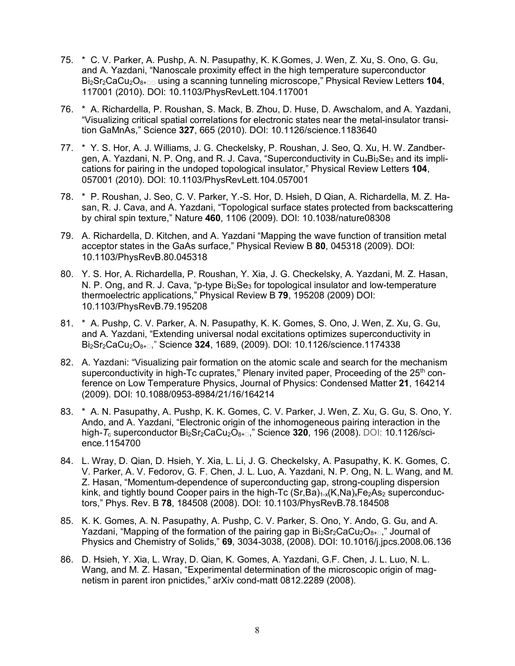- 75. \* C. V. Parker, A. Pushp, A. N. Pasupathy, K. K.Gomes, J. Wen, Z. Xu, S. Ono, G. Gu, and A. Yazdani, "Nanoscale proximity effect in the high temperature superconductor Bi<sub>2</sub>Sr<sub>2</sub>CaCu<sub>2</sub>O<sub>8+ $\Box$ </sub> using a scanning tunneling microscope," Physical Review Letters **104**, 117001 (2010). DOI: 10.1103/PhysRevLett.104.117001
- 76. \* A. Richardella, P. Roushan, S. Mack, B. Zhou, D. Huse, D. Awschalom, and A. Yazdani, "Visualizing critical spatial correlations for electronic states near the metal-insulator transition GaMnAs," Science **327**, 665 (2010). DOI: 10.1126/science.1183640
- 77. \* Y. S. Hor, A. J. Williams, J. G. Checkelsky, P. Roushan, J. Seo, Q. Xu, H. W. Zandbergen, A. Yazdani, N. P. Ong, and R. J. Cava, "Superconductivity in  $Cu_xBi_2Se_3$  and its implications for pairing in the undoped topological insulator," Physical Review Letters **104**, 057001 (2010). DOI: 10.1103/PhysRevLett.104.057001
- 78. \* P. Roushan, J. Seo, C. V. Parker, Y.-S. Hor, D. Hsieh, D Qian, A. Richardella, M. Z. Hasan, R. J. Cava, and A. Yazdani, "Topological surface states protected from backscattering by chiral spin texture," Nature **460**, 1106 (2009). DOI: 10.1038/nature08308
- 79. A. Richardella, D. Kitchen, and A. Yazdani "Mapping the wave function of transition metal acceptor states in the GaAs surface," Physical Review B **80**, 045318 (2009). DOI: 10.1103/PhysRevB.80.045318
- 80. Y. S. Hor, A. Richardella, P. Roushan, Y. Xia, J. G. Checkelsky, A. Yazdani, M. Z. Hasan, N. P. Ong, and R. J. Cava, "p-type  $Bi<sub>2</sub>Se<sub>3</sub>$  for topological insulator and low-temperature thermoelectric applications," Physical Review B **79**, 195208 (2009) DOI: 10.1103/PhysRevB.79.195208
- 81. \* A. Pushp, C. V. Parker, A. N. Pasupathy, K. K. Gomes, S. Ono, J. Wen, Z. Xu, G. Gu, and A. Yazdani, "Extending universal nodal excitations optimizes superconductivity in Bi<sub>2</sub>Sr<sub>2</sub>CaCu<sub>2</sub>O<sub>8+ $\square$ </sub>" Science **324**, 1689, (2009). DOI: 10.1126/science.1174338
- 82. A. Yazdani: "Visualizing pair formation on the atomic scale and search for the mechanism superconductivity in high-Tc cuprates," Plenary invited paper, Proceeding of the 25<sup>th</sup> conference on Low Temperature Physics, Journal of Physics: Condensed Matter **21**, 164214 (2009). DOI: 10.1088/0953-8984/21/16/164214
- 83. \* A. N. Pasupathy, A. Pushp, K. K. Gomes, C. V. Parker, J. Wen, Z. Xu, G. Gu, S. Ono, Y. Ando, and A. Yazdani, "Electronic origin of the inhomogeneous pairing interaction in the high-T<sub>c</sub> superconductor Bi<sub>2</sub>Sr<sub>2</sub>CaCu<sub>2</sub>O<sub>8+ $\Box$ </sub>," Science **320**, 196 (2008). DOI: 10.1126/science.1154700
- 84. L. Wray, D. Qian, D. Hsieh, Y. Xia, L. Li, J. G. Checkelsky, A. Pasupathy, K. K. Gomes, C. V. Parker, A. V. Fedorov, G. F. Chen, J. L. Luo, A. Yazdani, N. P. Ong, N. L. Wang, and M. Z. Hasan, "Momentum-dependence of superconducting gap, strong-coupling dispersion kink, and tightly bound Cooper pairs in the high-Tc  $(Sr, Ba)_{1-x}(K,Na)_xFe_2As_2$  superconductors," Phys. Rev. B **78**, 184508 (2008). DOI: 10.1103/PhysRevB.78.184508
- 85. K. K. Gomes, A. N. Pasupathy, A. Pushp, C. V. Parker, S. Ono, Y. Ando, G. Gu, and A. Yazdani, "Mapping of the formation of the pairing gap in  $Bi_2Sr_2CaCu_2O_{8+}$ ," Journal of Physics and Chemistry of Solids," **69***,* 3034-3038, (2008). DOI: 10.1016/j.jpcs.2008.06.136
- 86. D. Hsieh, Y. Xia, L. Wray, D. Qian, K. Gomes, A. Yazdani, G.F. Chen, J. L. Luo, N. L. Wang, and M. Z. Hasan, "Experimental determination of the microscopic origin of magnetism in parent iron pnictides," arXiv cond-matt 0812.2289 (2008).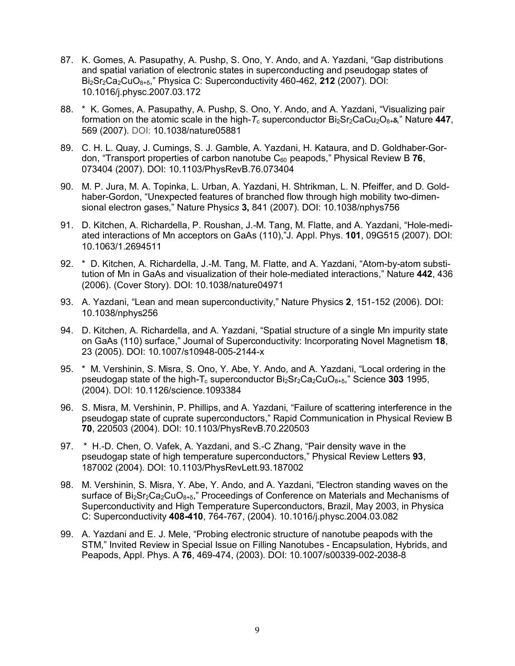- 87. K. Gomes, A. Pasupathy, A. Pushp, S. Ono, Y. Ando, and A. Yazdani, "Gap distributions and spatial variation of electronic states in superconducting and pseudogap states of Bi2Sr2Ca2CuO8+δ," Physica C: Superconductivity 460-462, **212** (2007). DOI: 10.1016/j.physc.2007.03.172
- 88. \* K. Gomes, A. Pasupathy, A. Pushp, S. Ono, Y. Ando, and A. Yazdani, "Visualizing pair formation on the atomic scale in the high- $T_c$  superconductor  $Bi_2Sr_2CaCu_2O_{8+8}$ ," Nature 447, 569 (2007). DOI: 10.1038/nature05881
- 89. C. H. L. Quay, J. Cumings, S. J. Gamble, A. Yazdani, H. Kataura, and D. Goldhaber-Gordon, "Transport properties of carbon nanotube C60 peapods," Physical Review B **76**, 073404 (2007). DOI: 10.1103/PhysRevB.76.073404
- 90. M. P. Jura, M. A. Topinka, L. Urban, A. Yazdani, H. Shtrikman, L. N. Pfeiffer, and D. Goldhaber-Gordon, "Unexpected features of branched flow through high mobility two-dimensional electron gases," Nature Physic*s* **3,** 841 (2007). DOI: 10.1038/nphys756
- 91. D. Kitchen, A. Richardella, P. Roushan, J.-M. Tang, M. Flatte, and A. Yazdani, "Hole-mediated interactions of Mn acceptors on GaAs (110),"J. Appl. Phys. **101**, 09G515 (2007). DOI: 10.1063/1.2694511
- 92. \* D. Kitchen, A. Richardella, J.-M. Tang, M. Flatte, and A. Yazdani, "Atom-by-atom substitution of Mn in GaAs and visualization of their hole-mediated interactions," Nature **442**, 436 (2006). (Cover Story). DOI: 10.1038/nature04971
- 93. A. Yazdani, "Lean and mean superconductivity," Nature Physics **2**, 151-152 (2006). DOI: 10.1038/nphys256
- 94. D. Kitchen, A. Richardella, and A. Yazdani, "Spatial structure of a single Mn impurity state on GaAs (110) surface," Journal of Superconductivity: Incorporating Novel Magnetism **18**, 23 (2005). DOI: 10.1007/s10948-005-2144-x
- 95. \* M. Vershinin, S. Misra, S. Ono, Y. Abe, Y. Ando, and A. Yazdani, "Local ordering in the pseudogap state of the high-T<sub>c</sub> superconductor Bi<sub>2</sub>Sr<sub>2</sub>Ca<sub>2</sub>CuO<sub>8+δ</sub>," Science **303** 1995, (2004). DOI: 10.1126/science.1093384
- 96. S. Misra, M. Vershinin, P. Phillips, and A. Yazdani, "Failure of scattering interference in the pseudogap state of cuprate superconductors," Rapid Communication in Physical Review B **70**, 220503 (2004). DOI: 10.1103/PhysRevB.70.220503
- 97. \* H.-D. Chen, O. Vafek, A. Yazdani, and S.-C Zhang, "Pair density wave in the pseudogap state of high temperature superconductors," Physical Review Letters **93**, 187002 (2004). DOI: 10.1103/PhysRevLett.93.187002
- 98. M. Vershinin, S. Misra, Y. Abe, Y. Ando, and A. Yazdani, "Electron standing waves on the surface of Bi<sub>2</sub>Sr<sub>2</sub>Ca<sub>2</sub>CuO<sub>8+δ</sub>," Proceedings of Conference on Materials and Mechanisms of Superconductivity and High Temperature Superconductors, Brazil, May 2003, in Physica C: Superconductivity **408-410**, 764-767, (2004). 10.1016/j.physc.2004.03.082
- 99. A. Yazdani and E. J. Mele, "Probing electronic structure of nanotube peapods with the STM," Invited Review in Special Issue on Filling Nanotubes - Encapsulation, Hybrids, and Peapods, Appl. Phys. A **76**, 469-474, (2003). DOI: 10.1007/s00339-002-2038-8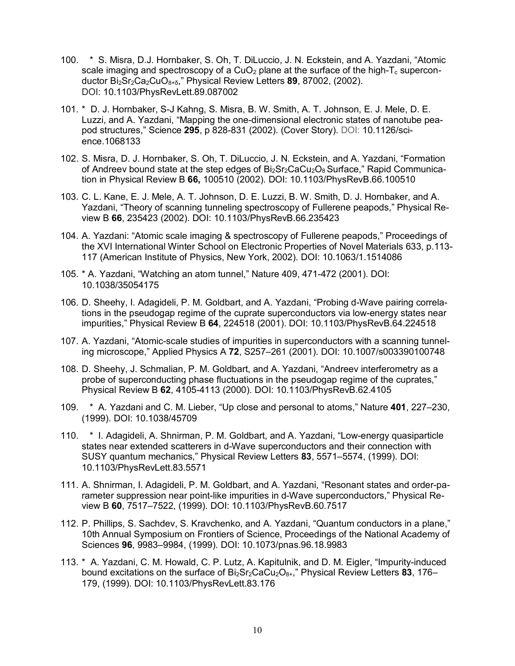- 100. \* S. Misra, D.J. Hornbaker, S. Oh, T. DiLuccio, J. N. Eckstein, and A. Yazdani, "Atomic scale imaging and spectroscopy of a CuO<sub>2</sub> plane at the surface of the high- $T_c$  superconductor Bi2Sr2Ca2CuO8+δ," Physical Review Letters **89**, 87002, (2002). DOI: 10.1103/PhysRevLett.89.087002
- 101. \* D. J. Hornbaker, S-J Kahng, S. Misra, B. W. Smith, A. T. Johnson, E. J. Mele, D. E. Luzzi, and A. Yazdani, "Mapping the one-dimensional electronic states of nanotube peapod structures," Science **295**, p 828-831 (2002). (Cover Story). DOI: 10.1126/science.1068133
- 102. S. Misra, D. J. Hornbaker, S. Oh, T. DiLuccio, J. N. Eckstein, and A. Yazdani, "Formation of Andreev bound state at the step edges of  $Bi_2Sr_2CaCu_2O_8$  Surface," Rapid Communication in Physical Review B **66,** 100510 (2002). DOI: 10.1103/PhysRevB.66.100510
- 103. C. L. Kane, E. J. Mele, A. T. Johnson, D. E. Luzzi, B. W. Smith, D. J. Hornbaker, and A. Yazdani, "Theory of scanning tunneling spectroscopy of Fullerene peapods," Physical Review B **66**, 235423 (2002). DOI: 10.1103/PhysRevB.66.235423
- 104. A. Yazdani: "Atomic scale imaging & spectroscopy of Fullerene peapods," Proceedings of the XVI International Winter School on Electronic Properties of Novel Materials 633, p.113- 117 (American Institute of Physics, New York, 2002). DOI: 10.1063/1.1514086
- 105. \* A. Yazdani, "Watching an atom tunnel," Nature 409, 471-472 (2001). DOI: 10.1038/35054175
- 106. D. Sheehy, I. Adagideli, P. M. Goldbart, and A. Yazdani, "Probing d-Wave pairing correlations in the pseudogap regime of the cuprate superconductors via low-energy states near impurities," Physical Review B **64**, 224518 (2001). DOI: 10.1103/PhysRevB.64.224518
- 107. A. Yazdani, "Atomic-scale studies of impurities in superconductors with a scanning tunneling microscope," Applied Physics A **72**, S257–261 (2001). DOI: 10.1007/s003390100748
- 108. D. Sheehy, J. Schmalian, P. M. Goldbart, and A. Yazdani, "Andreev interferometry as a probe of superconducting phase fluctuations in the pseudogap regime of the cuprates," Physical Review B **62**, 4105-4113 (2000). DOI: 10.1103/PhysRevB.62.4105
- 109. \* A. Yazdani and C. M. Lieber, "Up close and personal to atoms," Nature **401**, 227–230, (1999). DOI: 10.1038/45709
- 110. \* I. Adagideli, A. Shnirman, P. M. Goldbart, and A. Yazdani, "Low-energy quasiparticle states near extended scatterers in d-Wave superconductors and their connection with SUSY quantum mechanics," Physical Review Letters **83**, 5571–5574, (1999). DOI: 10.1103/PhysRevLett.83.5571
- 111. A. Shnirman, I. Adagideli, P. M. Goldbart, and A. Yazdani, "Resonant states and order-parameter suppression near point-like impurities in d-Wave superconductors," Physical Review B **60**, 7517–7522, (1999). DOI: 10.1103/PhysRevB.60.7517
- 112. P. Phillips, S. Sachdev, S. Kravchenko, and A. Yazdani, "Quantum conductors in a plane," 10th Annual Symposium on Frontiers of Science, Proceedings of the National Academy of Sciences **96**, 9983–9984, (1999). DOI: 10.1073/pnas.96.18.9983
- 113. \* A. Yazdani, C. M. Howald, C. P. Lutz, A. Kapitulnik, and D. M. Eigler, "Impurity-induced bound excitations on the surface of Bi2Sr2CaCu2O8+," Physical Review Letters **83**, 176– 179, (1999). DOI: 10.1103/PhysRevLett.83.176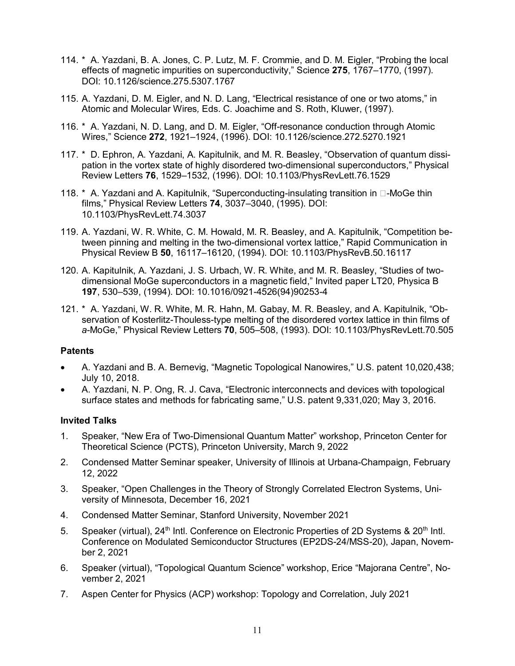- 114. \* A. Yazdani, B. A. Jones, C. P. Lutz, M. F. Crommie, and D. M. Eigler, "Probing the local effects of magnetic impurities on superconductivity," Science **275**, 1767–1770, (1997). DOI: 10.1126/science.275.5307.1767
- 115. A. Yazdani, D. M. Eigler, and N. D. Lang, "Electrical resistance of one or two atoms," in Atomic and Molecular Wires*,* Eds. C. Joachime and S. Roth, Kluwer, (1997).
- 116. \* A. Yazdani, N. D. Lang, and D. M. Eigler, "Off-resonance conduction through Atomic Wires," Science **272**, 1921–1924, (1996). DOI: 10.1126/science.272.5270.1921
- 117. \* D. Ephron, A. Yazdani, A. Kapitulnik, and M. R. Beasley, "Observation of quantum dissipation in the vortex state of highly disordered two-dimensional superconductors," Physical Review Letters **76**, 1529–1532, (1996). DOI: 10.1103/PhysRevLett.76.1529
- 118.  $*$  A. Yazdani and A. Kapitulnik, "Superconducting-insulating transition in  $\Box$ -MoGe thin films," Physical Review Letters **74**, 3037–3040, (1995). DOI: 10.1103/PhysRevLett.74.3037
- 119. A. Yazdani, W. R. White, C. M. Howald, M. R. Beasley, and A. Kapitulnik, "Competition between pinning and melting in the two-dimensional vortex lattice," Rapid Communication in Physical Review B **50**, 16117–16120, (1994). DOI: 10.1103/PhysRevB.50.16117
- 120. A. Kapitulnik, A. Yazdani, J. S. Urbach, W. R. White, and M. R. Beasley, "Studies of twodimensional MoGe superconductors in a magnetic field," Invited paper LT20, Physica B **197**, 530–539, (1994). DOI: 10.1016/0921-4526(94)90253-4
- 121. \* A. Yazdani, W. R. White, M. R. Hahn, M. Gabay, M. R. Beasley, and A. Kapitulnik, "Observation of Kosterlitz-Thouless-type melting of the disordered vortex lattice in thin films of *a*-MoGe," Physical Review Letters **70**, 505–508, (1993). DOI: 10.1103/PhysRevLett.70.505

#### **Patents**

- A. Yazdani and B. A. Bernevig, "Magnetic Topological Nanowires," U.S. patent 10,020,438; July 10, 2018.
- A. Yazdani, N. P. Ong, R. J. Cava, "Electronic interconnects and devices with topological surface states and methods for fabricating same," U.S. patent 9,331,020; May 3, 2016.

#### **Invited Talks**

- 1. Speaker, "New Era of Two-Dimensional Quantum Matter" workshop, Princeton Center for Theoretical Science (PCTS), Princeton University, March 9, 2022
- 2. Condensed Matter Seminar speaker, University of Illinois at Urbana-Champaign, February 12, 2022
- 3. Speaker, "Open Challenges in the Theory of Strongly Correlated Electron Systems, University of Minnesota, December 16, 2021
- 4. Condensed Matter Seminar, Stanford University, November 2021
- 5. Speaker (virtual), 24<sup>th</sup> Intl. Conference on Electronic Properties of 2D Systems & 20<sup>th</sup> Intl. Conference on Modulated Semiconductor Structures (EP2DS-24/MSS-20), Japan, November 2, 2021
- 6. Speaker (virtual), "Topological Quantum Science" workshop, Erice "Majorana Centre", November 2, 2021
- 7. Aspen Center for Physics (ACP) workshop: Topology and Correlation, July 2021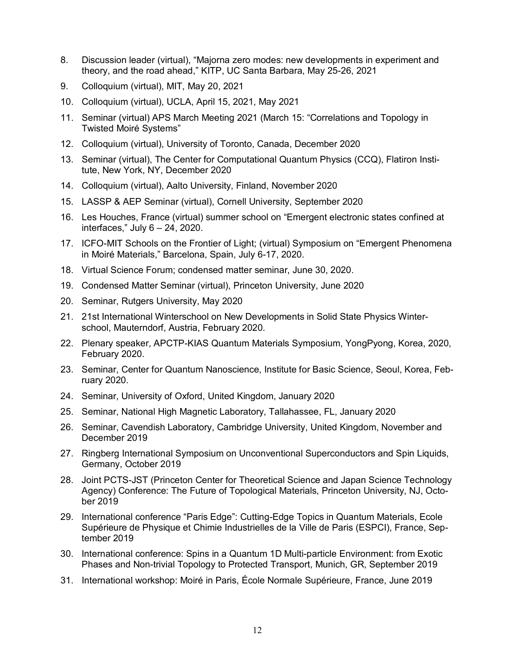- 8. Discussion leader (virtual), "Majorna zero modes: new developments in experiment and theory, and the road ahead," KITP, UC Santa Barbara, May 25-26, 2021
- 9. Colloquium (virtual), MIT, May 20, 2021
- 10. Colloquium (virtual), UCLA, April 15, 2021, May 2021
- 11. Seminar (virtual) APS March Meeting 2021 (March 15: "Correlations and Topology in Twisted Moiré Systems"
- 12. Colloquium (virtual), University of Toronto, Canada, December 2020
- 13. Seminar (virtual), The Center for Computational Quantum Physics (CCQ), Flatiron Institute, New York, NY, December 2020
- 14. Colloquium (virtual), Aalto University, Finland, November 2020
- 15. LASSP & AEP Seminar (virtual), Cornell University, September 2020
- 16. Les Houches, France (virtual) summer school on "Emergent electronic states confined at interfaces," July  $6 - 24$ , 2020.
- 17. ICFO-MIT Schools on the Frontier of Light; (virtual) Symposium on "Emergent Phenomena in Moiré Materials," Barcelona, Spain, July 6-17, 2020.
- 18. Virtual Science Forum; condensed matter seminar, June 30, 2020.
- 19. Condensed Matter Seminar (virtual), Princeton University, June 2020
- 20. Seminar, Rutgers University, May 2020
- 21. 21st International Winterschool on New Developments in Solid State Physics Winterschool, Mauterndorf, Austria, February 2020.
- 22. Plenary speaker, APCTP-KIAS Quantum Materials Symposium, YongPyong, Korea, 2020, February 2020.
- 23. Seminar, Center for Quantum Nanoscience, Institute for Basic Science, Seoul, Korea, February 2020.
- 24. Seminar, University of Oxford, United Kingdom, January 2020
- 25. Seminar, National High Magnetic Laboratory, Tallahassee, FL, January 2020
- 26. Seminar, Cavendish Laboratory, Cambridge University, United Kingdom, November and December 2019
- 27. Ringberg International Symposium on Unconventional Superconductors and Spin Liquids, Germany, October 2019
- 28. Joint PCTS-JST (Princeton Center for Theoretical Science and Japan Science Technology Agency) Conference: The Future of Topological Materials, Princeton University, NJ, October 2019
- 29. International conference "Paris Edge": Cutting-Edge Topics in Quantum Materials, Ecole Supérieure de Physique et Chimie Industrielles de la Ville de Paris [\(ESPCI\)](https://www.espci.fr/en/), France, September 2019
- 30. International conference: Spins in a Quantum 1D Multi-particle Environment: from Exotic Phases and Non-trivial Topology to Protected Transport, Munich, GR, September 2019
- 31. International workshop: Moiré in Paris, École Normale Supérieure, France, June 2019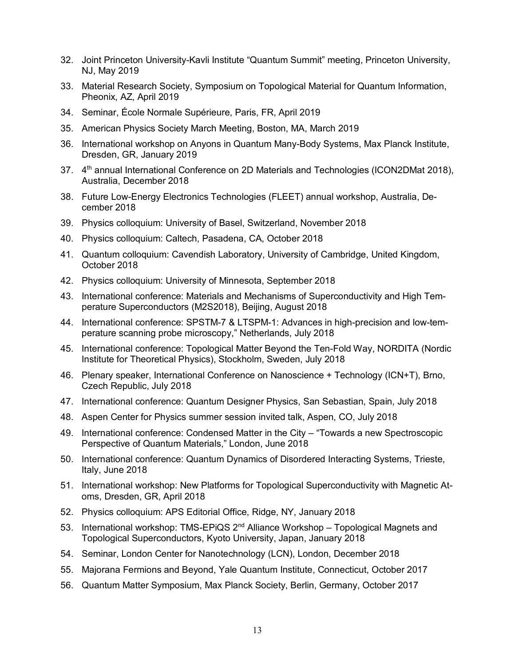- 32. Joint Princeton University-Kavli Institute "Quantum Summit" meeting, Princeton University, NJ, May 2019
- 33. Material Research Society, Symposium on Topological Material for Quantum Information, Pheonix, AZ, April 2019
- 34. Seminar, École Normale Supérieure, Paris, FR, April 2019
- 35. American Physics Society March Meeting, Boston, MA, March 2019
- 36. International workshop on Anyons in Quantum Many-Body Systems, Max Planck Institute, Dresden, GR, January 2019
- 37. 4<sup>th</sup> annual International Conference on 2D Materials and Technologies (ICON2DMat 2018), Australia, December 2018
- 38. Future Low-Energy Electronics Technologies (FLEET) annual workshop, Australia, December 2018
- 39. Physics colloquium: University of Basel, Switzerland, November 2018
- 40. Physics colloquium: Caltech, Pasadena, CA, October 2018
- 41. Quantum colloquium: Cavendish Laboratory, University of Cambridge, United Kingdom, October 2018
- 42. Physics colloquium: University of Minnesota, September 2018
- 43. International conference: Materials and Mechanisms of Superconductivity and High Temperature Superconductors (M2S2018), Beijing, August 2018
- 44. International conference: SPSTM-7 & LTSPM-1: Advances in high-precision and low-temperature scanning probe microscopy," Netherlands, July 2018
- 45. International conference: Topological Matter Beyond the Ten-Fold Way, NORDITA (Nordic Institute for Theoretical Physics), Stockholm, Sweden, July 2018
- 46. Plenary speaker, International Conference on Nanoscience + Technology (ICN+T), Brno, Czech Republic, July 2018
- 47. International conference: Quantum Designer Physics, San Sebastian, Spain, July 2018
- 48. Aspen Center for Physics summer session invited talk, Aspen, CO, July 2018
- 49. International conference: Condensed Matter in the City "Towards a new Spectroscopic Perspective of Quantum Materials," London, June 2018
- 50. International conference: Quantum Dynamics of Disordered Interacting Systems, Trieste, Italy, June 2018
- 51. International workshop: New Platforms for Topological Superconductivity with Magnetic Atoms, Dresden, GR, April 2018
- 52. Physics colloquium: APS Editorial Office, Ridge, NY, January 2018
- 53. International workshop: TMS-EPiQS 2<sup>nd</sup> Alliance Workshop Topological Magnets and Topological Superconductors, Kyoto University, Japan, January 2018
- 54. Seminar, London Center for Nanotechnology (LCN), London, December 2018
- 55. Majorana Fermions and Beyond, Yale Quantum Institute, Connecticut, October 2017
- 56. Quantum Matter Symposium, Max Planck Society, Berlin, Germany, October 2017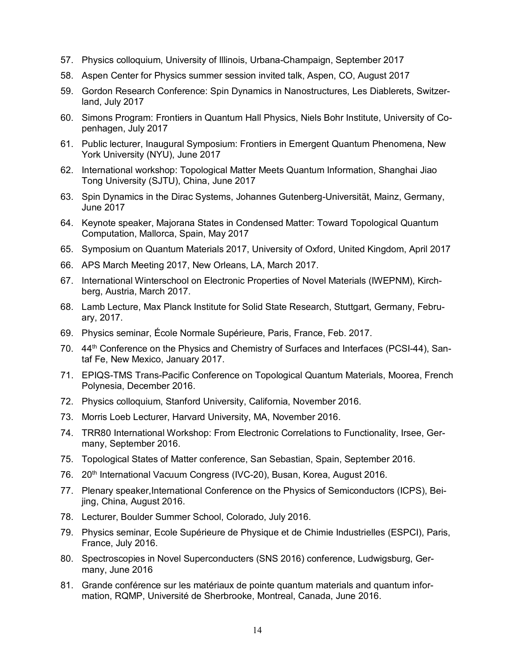- 57. Physics colloquium, University of Illinois, Urbana-Champaign, September 2017
- 58. Aspen Center for Physics summer session invited talk, Aspen, CO, August 2017
- 59. Gordon Research Conference: Spin Dynamics in Nanostructures, Les Diablerets, Switzerland, July 2017
- 60. Simons Program: Frontiers in Quantum Hall Physics, Niels Bohr Institute, University of Copenhagen, July 2017
- 61. Public lecturer, Inaugural Symposium: Frontiers in Emergent Quantum Phenomena, New York University (NYU), June 2017
- 62. International workshop: Topological Matter Meets Quantum Information, Shanghai Jiao Tong University (SJTU), China, June 2017
- 63. Spin Dynamics in the Dirac Systems, Johannes Gutenberg-Universität, Mainz, Germany, June 2017
- 64. Keynote speaker, Majorana States in Condensed Matter: Toward Topological Quantum Computation, Mallorca, Spain, May 2017
- 65. Symposium on Quantum Materials 2017, University of Oxford, United Kingdom, April 2017
- 66. APS March Meeting 2017, New Orleans, LA, March 2017.
- 67. International Winterschool on Electronic Properties of Novel Materials (IWEPNM), Kirchberg, Austria, March 2017.
- 68. Lamb Lecture, Max Planck Institute for Solid State Research, Stuttgart, Germany, February, 2017.
- 69. Physics seminar, École Normale Supérieure, Paris, France, Feb. 2017.
- 70. 44<sup>th</sup> Conference on the Physics and Chemistry of Surfaces and Interfaces (PCSI-44), Santaf Fe, New Mexico, January 2017.
- 71. EPIQS-TMS Trans-Pacific Conference on Topological Quantum Materials, Moorea, French Polynesia, December 2016.
- 72. Physics colloquium, Stanford University, California, November 2016.
- 73. Morris Loeb Lecturer, Harvard University, MA, November 2016.
- 74. TRR80 International Workshop: From Electronic Correlations to Functionality, Irsee, Germany, September 2016.
- 75. Topological States of Matter conference, San Sebastian, Spain, September 2016.
- 76. 20<sup>th</sup> International Vacuum Congress (IVC-20), Busan, Korea, August 2016.
- 77. Plenary speaker,International Conference on the Physics of Semiconductors (ICPS), Beijing, China, August 2016.
- 78. Lecturer, Boulder Summer School, Colorado, July 2016.
- 79. Physics seminar, Ecole Supérieure de Physique et de Chimie Industrielles (ESPCI), Paris, France, July 2016.
- 80. Spectroscopies in Novel Superconducters (SNS 2016) conference, Ludwigsburg, Germany, June 2016
- 81. Grande conférence sur les matériaux de pointe quantum materials and quantum information, RQMP, Université de Sherbrooke, Montreal, Canada, June 2016.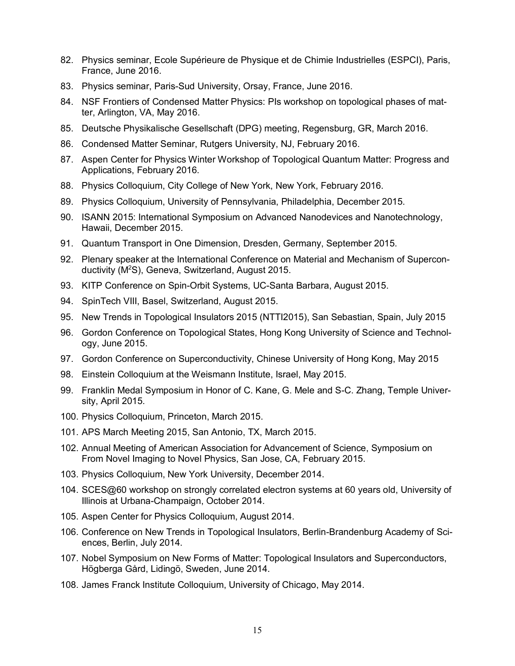- 82. Physics seminar, Ecole Supérieure de Physique et de Chimie Industrielles (ESPCI), Paris, France, June 2016.
- 83. Physics seminar, Paris-Sud University, Orsay, France, June 2016.
- 84. NSF Frontiers of Condensed Matter Physics: PIs workshop on topological phases of matter, Arlington, VA, May 2016.
- 85. Deutsche Physikalische Gesellschaft (DPG) meeting, Regensburg, GR, March 2016.
- 86. Condensed Matter Seminar, Rutgers University, NJ, February 2016.
- 87. Aspen Center for Physics Winter Workshop of Topological Quantum Matter: Progress and Applications, February 2016.
- 88. Physics Colloquium, City College of New York, New York, February 2016.
- 89. Physics Colloquium, University of Pennsylvania, Philadelphia, December 2015.
- 90. ISANN 2015: International Symposium on Advanced Nanodevices and Nanotechnology, Hawaii, December 2015.
- 91. Quantum Transport in One Dimension, Dresden, Germany, September 2015.
- 92. Plenary speaker at the International Conference on Material and Mechanism of Superconductivity (M2 S), Geneva, Switzerland, August 2015.
- 93. KITP Conference on Spin-Orbit Systems, UC-Santa Barbara, August 2015.
- 94. SpinTech VIII, Basel, Switzerland, August 2015.
- 95. New Trends in Topological Insulators 2015 (NTTI2015), San Sebastian, Spain, July 2015
- 96. Gordon Conference on Topological States, Hong Kong University of Science and Technology, June 2015.
- 97. Gordon Conference on Superconductivity, Chinese University of Hong Kong, May 2015
- 98. Einstein Colloquium at the Weismann Institute, Israel, May 2015.
- 99. Franklin Medal Symposium in Honor of C. Kane, G. Mele and S-C. Zhang, Temple University, April 2015.
- 100. Physics Colloquium, Princeton, March 2015.
- 101. APS March Meeting 2015, San Antonio, TX, March 2015.
- 102. Annual Meeting of American Association for Advancement of Science, Symposium on From Novel Imaging to Novel Physics, San Jose, CA, February 2015.
- 103. Physics Colloquium, New York University, December 2014.
- 104. SCES@60 workshop on strongly correlated electron systems at 60 years old, University of Illinois at Urbana-Champaign, October 2014.
- 105. Aspen Center for Physics Colloquium, August 2014.
- 106. Conference on New Trends in Topological Insulators, Berlin-Brandenburg Academy of Sciences, Berlin, July 2014.
- 107. Nobel Symposium on New Forms of Matter: Topological Insulators and Superconductors, Högberga Gård, Lidingö, Sweden, June 2014.
- 108. James Franck Institute Colloquium, University of Chicago, May 2014.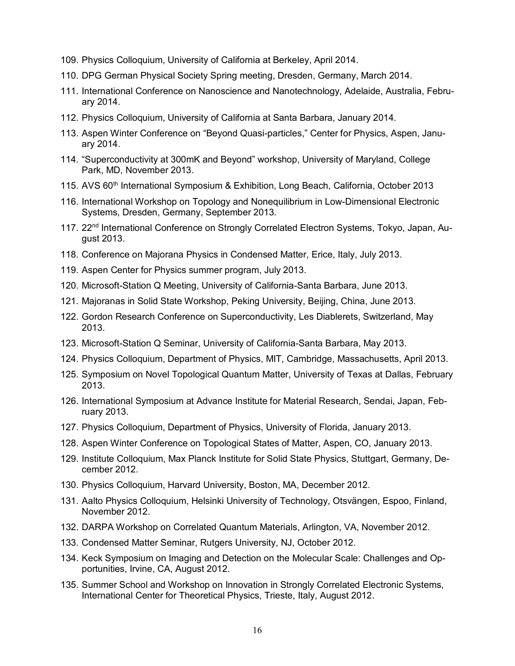- 109. Physics Colloquium, University of California at Berkeley, April 2014.
- 110. DPG German Physical Society Spring meeting, Dresden, Germany, March 2014.
- 111. International Conference on Nanoscience and Nanotechnology, Adelaide, Australia, February 2014.
- 112. Physics Colloquium, University of California at Santa Barbara, January 2014.
- 113. Aspen Winter Conference on "Beyond Quasi-particles," Center for Physics, Aspen, January 2014.
- 114. "Superconductivity at 300mK and Beyond" workshop, University of Maryland, College Park, MD, November 2013.
- 115. AVS 60<sup>th</sup> International Symposium & Exhibition, Long Beach, California, October 2013
- 116. International Workshop on Topology and Nonequilibrium in Low-Dimensional Electronic Systems, Dresden, Germany, September 2013.
- 117. 22<sup>nd</sup> International Conference on Strongly Correlated Electron Systems, Tokyo, Japan, August 2013.
- 118. Conference on Majorana Physics in Condensed Matter, Erice, Italy, July 2013.
- 119. Aspen Center for Physics summer program, July 2013.
- 120. Microsoft-Station Q Meeting, University of California-Santa Barbara, June 2013.
- 121. Majoranas in Solid State Workshop, Peking University, Beijing, China, June 2013.
- 122. Gordon Research Conference on Superconductivity, Les Diablerets, Switzerland, May 2013.
- 123. Microsoft-Station Q Seminar, University of California-Santa Barbara, May 2013.
- 124. Physics Colloquium, Department of Physics, MIT, Cambridge, Massachusetts, April 2013.
- 125. Symposium on Novel Topological Quantum Matter, University of Texas at Dallas, February 2013.
- 126. International Symposium at Advance Institute for Material Research, Sendai, Japan, February 2013.
- 127. Physics Colloquium, Department of Physics, University of Florida, January 2013.
- 128. Aspen Winter Conference on Topological States of Matter, Aspen, CO, January 2013.
- 129. Institute Colloquium, Max Planck Institute for Solid State Physics, Stuttgart, Germany, December 2012.
- 130. Physics Colloquium, Harvard University, Boston, MA, December 2012.
- 131. Aalto Physics Colloquium, Helsinki University of Technology, Otsvängen, Espoo, Finland, November 2012.
- 132. DARPA Workshop on Correlated Quantum Materials, Arlington, VA, November 2012.
- 133. Condensed Matter Seminar, Rutgers University, NJ, October 2012.
- 134. Keck Symposium on Imaging and Detection on the Molecular Scale: Challenges and Opportunities, Irvine, CA, August 2012.
- 135. Summer School and Workshop on Innovation in Strongly Correlated Electronic Systems, International Center for Theoretical Physics, Trieste, Italy, August 2012.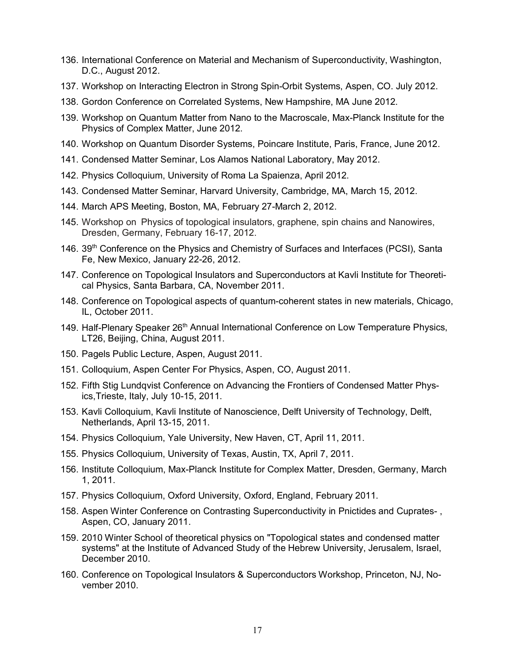- 136. International Conference on Material and Mechanism of Superconductivity, Washington, D.C., August 2012.
- 137. Workshop on Interacting Electron in Strong Spin-Orbit Systems, Aspen, CO. July 2012.
- 138. Gordon Conference on Correlated Systems, New Hampshire, MA June 2012.
- 139. Workshop on Quantum Matter from Nano to the Macroscale, Max-Planck Institute for the Physics of Complex Matter, June 2012.
- 140. Workshop on Quantum Disorder Systems, Poincare Institute, Paris, France, June 2012.
- 141. Condensed Matter Seminar, Los Alamos National Laboratory, May 2012.
- 142. Physics Colloquium, University of Roma La Spaienza, April 2012.
- 143. Condensed Matter Seminar, Harvard University, Cambridge, MA, March 15, 2012.
- 144. March APS Meeting, Boston, MA, February 27-March 2, 2012.
- 145. Workshop on Physics of topological insulators, graphene, spin chains and Nanowires, Dresden, Germany, February 16-17, 2012.
- 146. 39<sup>th</sup> Conference on the Physics and Chemistry of Surfaces and Interfaces (PCSI), Santa Fe, New Mexico, January 22-26, 2012.
- 147. Conference on Topological Insulators and Superconductors at Kavli Institute for Theoretical Physics, Santa Barbara, CA, November 2011.
- 148. Conference on Topological aspects of quantum-coherent states in new materials, Chicago, IL, October 2011.
- 149. Half-Plenary Speaker 26<sup>th</sup> Annual International Conference on Low Temperature Physics, LT26, Beijing, China, August 2011.
- 150. Pagels Public Lecture, Aspen, August 2011.
- 151. Colloquium, Aspen Center For Physics, Aspen, CO, August 2011.
- 152. Fifth Stig Lundqvist Conference on Advancing the Frontiers of Condensed Matter Physics,Trieste, Italy, July 10-15, 2011.
- 153. Kavli Colloquium, Kavli Institute of Nanoscience, Delft University of Technology, Delft, Netherlands, April 13-15, 2011.
- 154. Physics Colloquium, Yale University, New Haven, CT, April 11, 2011.
- 155. Physics Colloquium, University of Texas, Austin, TX, April 7, 2011.
- 156. Institute Colloquium, Max-Planck Institute for Complex Matter, Dresden, Germany, March 1, 2011.
- 157. Physics Colloquium, Oxford University, Oxford, England, February 2011.
- 158. Aspen Winter Conference on Contrasting Superconductivity in Pnictides and Cuprates- , Aspen, CO, January 2011.
- 159. 2010 Winter School of theoretical physics on "Topological states and condensed matter systems" at the Institute of Advanced Study of the Hebrew University, Jerusalem, Israel, December 2010.
- 160. Conference on Topological Insulators & Superconductors Workshop, Princeton, NJ, November 2010.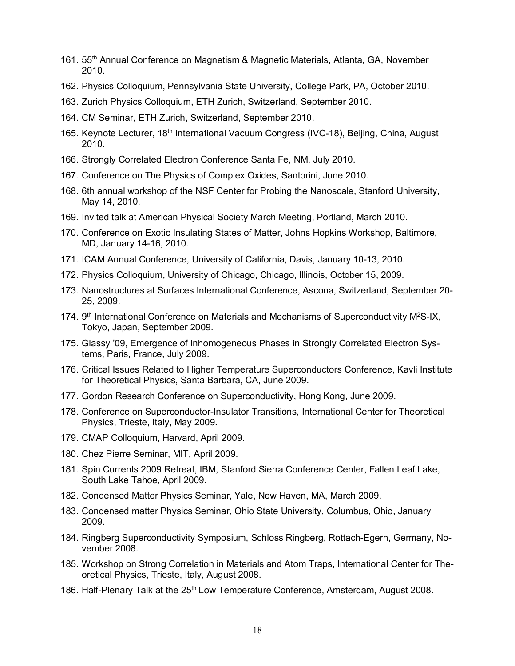- 161. 55th Annual Conference on Magnetism & Magnetic Materials, Atlanta, GA, November 2010.
- 162. Physics Colloquium, Pennsylvania State University, College Park, PA, October 2010.
- 163. Zurich Physics Colloquium, ETH Zurich, Switzerland, September 2010.
- 164. CM Seminar, ETH Zurich, Switzerland, September 2010.
- 165. Keynote Lecturer, 18<sup>th</sup> International Vacuum Congress (IVC-18), Beijing, China, August 2010.
- 166. Strongly Correlated Electron Conference Santa Fe, NM, July 2010.
- 167. Conference on The Physics of Complex Oxides, Santorini, June 2010.
- 168. 6th annual workshop of the NSF Center for Probing the Nanoscale, Stanford University, May 14, 2010.
- 169. Invited talk at American Physical Society March Meeting, Portland, March 2010.
- 170. Conference on Exotic Insulating States of Matter, Johns Hopkins Workshop, Baltimore, MD, January 14-16, 2010.
- 171. ICAM Annual Conference, University of California, Davis, January 10-13, 2010.
- 172. Physics Colloquium, University of Chicago, Chicago, Illinois, October 15, 2009.
- 173. Nanostructures at Surfaces International Conference, Ascona, Switzerland, September 20- 25, 2009.
- 174.  $9<sup>th</sup>$  International Conference on Materials and Mechanisms of Superconductivity M<sup>2</sup>S-IX, Tokyo, Japan, September 2009.
- 175. Glassy '09, Emergence of Inhomogeneous Phases in Strongly Correlated Electron Systems, Paris, France, July 2009.
- 176. Critical Issues Related to Higher Temperature Superconductors Conference, Kavli Institute for Theoretical Physics, Santa Barbara, CA, June 2009.
- 177. Gordon Research Conference on Superconductivity, Hong Kong, June 2009.
- 178. Conference on Superconductor-Insulator Transitions, International Center for Theoretical Physics, Trieste, Italy, May 2009.
- 179. CMAP Colloquium, Harvard, April 2009.
- 180. Chez Pierre Seminar, MIT, April 2009.
- 181. Spin Currents 2009 Retreat, IBM, Stanford Sierra Conference Center, Fallen Leaf Lake, South Lake Tahoe, April 2009.
- 182. Condensed Matter Physics Seminar, Yale, New Haven, MA, March 2009.
- 183. Condensed matter Physics Seminar, Ohio State University, Columbus, Ohio, January 2009.
- 184. Ringberg Superconductivity Symposium, Schloss Ringberg, Rottach-Egern, Germany, November 2008.
- 185. Workshop on Strong Correlation in Materials and Atom Traps, International Center for Theoretical Physics, Trieste, Italy, August 2008.
- 186. Half-Plenary Talk at the 25<sup>th</sup> Low Temperature Conference, Amsterdam, August 2008.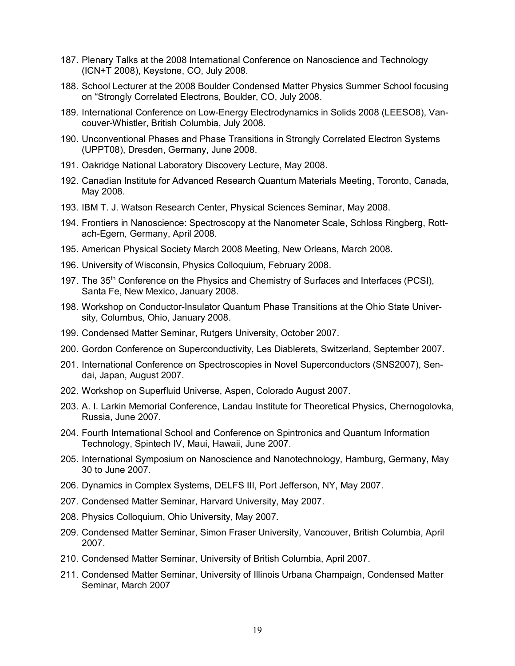- 187. Plenary Talks at the 2008 International Conference on Nanoscience and Technology (ICN+T 2008), Keystone, CO, July 2008.
- 188. School Lecturer at the 2008 Boulder Condensed Matter Physics Summer School focusing on "Strongly Correlated Electrons, Boulder, CO, July 2008.
- 189. International Conference on Low-Energy Electrodynamics in Solids 2008 (LEESO8), Vancouver-Whistler, British Columbia, July 2008.
- 190. Unconventional Phases and Phase Transitions in Strongly Correlated Electron Systems (UPPT08), Dresden, Germany, June 2008.
- 191. Oakridge National Laboratory Discovery Lecture, May 2008.
- 192. Canadian Institute for Advanced Research Quantum Materials Meeting, Toronto, Canada, May 2008.
- 193. IBM T. J. Watson Research Center, Physical Sciences Seminar, May 2008.
- 194. Frontiers in Nanoscience: Spectroscopy at the Nanometer Scale, Schloss Ringberg, Rottach-Egern, Germany, April 2008.
- 195. American Physical Society March 2008 Meeting, New Orleans, March 2008.
- 196. University of Wisconsin, Physics Colloquium, February 2008.
- 197. The 35<sup>th</sup> Conference on the Physics and Chemistry of Surfaces and Interfaces (PCSI), Santa Fe, New Mexico, January 2008.
- 198. Workshop on Conductor-Insulator Quantum Phase Transitions at the Ohio State University, Columbus, Ohio, January 2008.
- 199. Condensed Matter Seminar, Rutgers University, October 2007.
- 200. Gordon Conference on Superconductivity, Les Diablerets, Switzerland, September 2007.
- 201. International Conference on Spectroscopies in Novel Superconductors (SNS2007), Sendai, Japan, August 2007.
- 202. Workshop on Superfluid Universe, Aspen, Colorado August 2007.
- 203. A. I. Larkin Memorial Conference, Landau Institute for Theoretical Physics, Chernogolovka, Russia, June 2007.
- 204. Fourth International School and Conference on Spintronics and Quantum Information Technology, Spintech IV, Maui, Hawaii, June 2007.
- 205. International Symposium on Nanoscience and Nanotechnology, Hamburg, Germany, May 30 to June 2007.
- 206. Dynamics in Complex Systems, DELFS III, Port Jefferson, NY, May 2007.
- 207. Condensed Matter Seminar, Harvard University, May 2007.
- 208. Physics Colloquium, Ohio University, May 2007.
- 209. Condensed Matter Seminar, Simon Fraser University, Vancouver, British Columbia, April 2007.
- 210. Condensed Matter Seminar, University of British Columbia, April 2007.
- 211. Condensed Matter Seminar, University of Illinois Urbana Champaign, Condensed Matter Seminar, March 2007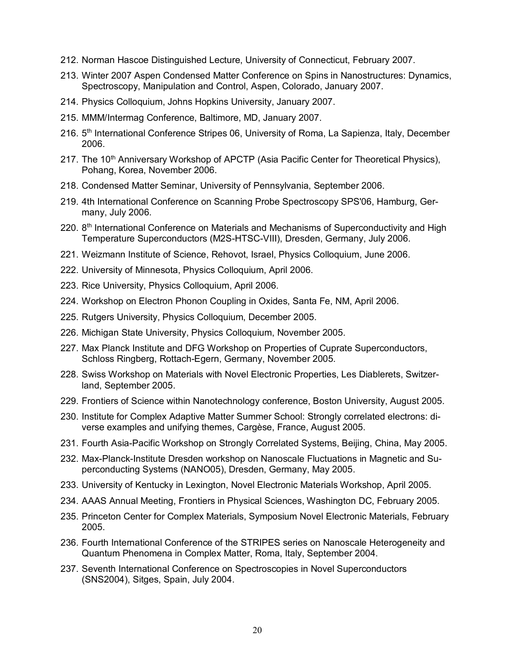- 212. Norman Hascoe Distinguished Lecture, University of Connecticut, February 2007.
- 213. Winter 2007 Aspen Condensed Matter Conference on Spins in Nanostructures: Dynamics, Spectroscopy, Manipulation and Control, Aspen, Colorado, January 2007.
- 214. Physics Colloquium, Johns Hopkins University, January 2007.
- 215. MMM/Intermag Conference, Baltimore, MD, January 2007.
- 216. 5<sup>th</sup> International Conference Stripes 06, University of Roma, La Sapienza, Italy, December 2006.
- 217. The 10<sup>th</sup> Anniversary Workshop of APCTP (Asia Pacific Center for Theoretical Physics), Pohang, Korea, November 2006.
- 218. Condensed Matter Seminar, University of Pennsylvania, September 2006.
- 219. 4th International Conference on Scanning Probe Spectroscopy SPS'06, Hamburg, Germany, July 2006.
- 220. 8<sup>th</sup> International Conference on Materials and Mechanisms of Superconductivity and High Temperature Superconductors (M2S-HTSC-VIII), Dresden, Germany, July 2006.
- 221. Weizmann Institute of Science, Rehovot, Israel, Physics Colloquium, June 2006.
- 222. University of Minnesota, Physics Colloquium, April 2006.
- 223. Rice University, Physics Colloquium, April 2006.
- 224. Workshop on Electron Phonon Coupling in Oxides, Santa Fe, NM, April 2006.
- 225. Rutgers University, Physics Colloquium, December 2005.
- 226. Michigan State University, Physics Colloquium, November 2005.
- 227. Max Planck Institute and DFG Workshop on Properties of Cuprate Superconductors, Schloss Ringberg, Rottach-Egern, Germany, November 2005.
- 228. Swiss Workshop on Materials with Novel Electronic Properties, Les Diablerets, Switzerland, September 2005.
- 229. Frontiers of Science within Nanotechnology conference, Boston University, August 2005.
- 230. Institute for Complex Adaptive Matter Summer School: Strongly correlated electrons: diverse examples and unifying themes, Cargèse, France, August 2005.
- 231. Fourth Asia-Pacific Workshop on Strongly Correlated Systems, Beijing, China, May 2005.
- 232. Max-Planck-Institute Dresden workshop on Nanoscale Fluctuations in Magnetic and Superconducting Systems (NANO05), Dresden, Germany, May 2005.
- 233. University of Kentucky in Lexington, Novel Electronic Materials Workshop, April 2005.
- 234. AAAS Annual Meeting, Frontiers in Physical Sciences, Washington DC, February 2005.
- 235. Princeton Center for Complex Materials, Symposium Novel Electronic Materials, February 2005.
- 236. Fourth International Conference of the STRIPES series on Nanoscale Heterogeneity and Quantum Phenomena in Complex Matter, Roma, Italy, September 2004.
- 237. Seventh International Conference on Spectroscopies in Novel Superconductors (SNS2004), Sitges, Spain, July 2004.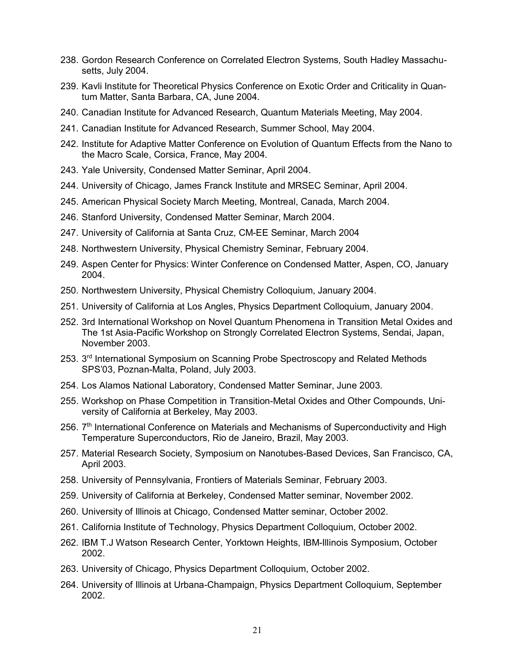- 238. Gordon Research Conference on Correlated Electron Systems, South Hadley Massachusetts, July 2004.
- 239. Kavli Institute for Theoretical Physics Conference on Exotic Order and Criticality in Quantum Matter, Santa Barbara, CA, June 2004.
- 240. Canadian Institute for Advanced Research, Quantum Materials Meeting, May 2004.
- 241. Canadian Institute for Advanced Research, Summer School, May 2004.
- 242. Institute for Adaptive Matter Conference on Evolution of Quantum Effects from the Nano to the Macro Scale, Corsica, France, May 2004.
- 243. Yale University, Condensed Matter Seminar, April 2004.
- 244. University of Chicago, James Franck Institute and MRSEC Seminar, April 2004.
- 245. American Physical Society March Meeting, Montreal, Canada, March 2004.
- 246. Stanford University, Condensed Matter Seminar, March 2004.
- 247. University of California at Santa Cruz, CM-EE Seminar, March 2004
- 248. Northwestern University, Physical Chemistry Seminar, February 2004.
- 249. Aspen Center for Physics: Winter Conference on Condensed Matter, Aspen, CO, January 2004.
- 250. Northwestern University, Physical Chemistry Colloquium, January 2004.
- 251. University of California at Los Angles, Physics Department Colloquium, January 2004.
- 252. 3rd International Workshop on Novel Quantum Phenomena in Transition Metal Oxides and The 1st Asia-Pacific Workshop on Strongly Correlated Electron Systems, Sendai, Japan, November 2003.
- 253. 3rd International Symposium on Scanning Probe Spectroscopy and Related Methods SPS'03, Poznan-Malta, Poland, July 2003.
- 254. Los Alamos National Laboratory, Condensed Matter Seminar, June 2003.
- 255. Workshop on Phase Competition in Transition-Metal Oxides and Other Compounds, University of California at Berkeley, May 2003.
- 256. 7<sup>th</sup> International Conference on Materials and Mechanisms of Superconductivity and High Temperature Superconductors, Rio de Janeiro, Brazil, May 2003.
- 257. Material Research Society, Symposium on Nanotubes-Based Devices, San Francisco, CA, April 2003.
- 258. University of Pennsylvania, Frontiers of Materials Seminar, February 2003.
- 259. University of California at Berkeley, Condensed Matter seminar, November 2002.
- 260. University of Illinois at Chicago, Condensed Matter seminar, October 2002.
- 261. California Institute of Technology, Physics Department Colloquium, October 2002.
- 262. IBM T.J Watson Research Center, Yorktown Heights, IBM-Illinois Symposium, October 2002.
- 263. University of Chicago, Physics Department Colloquium, October 2002.
- 264. University of Illinois at Urbana-Champaign, Physics Department Colloquium, September 2002.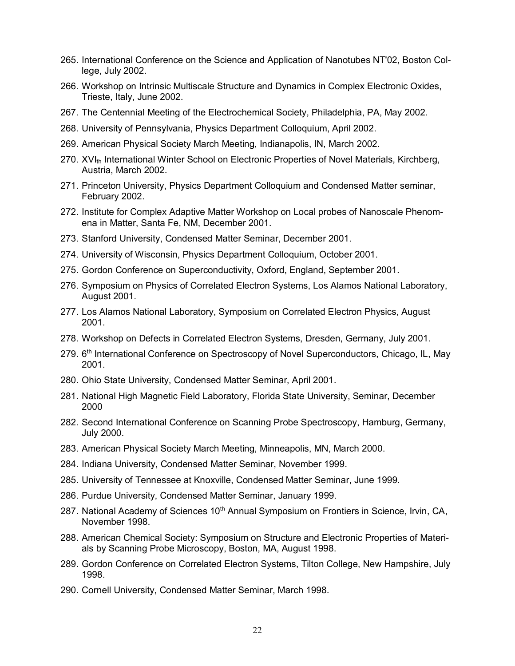- 265. International Conference on the Science and Application of Nanotubes NT'02, Boston College, July 2002.
- 266. Workshop on Intrinsic Multiscale Structure and Dynamics in Complex Electronic Oxides, Trieste, Italy, June 2002.
- 267. The Centennial Meeting of the Electrochemical Society, Philadelphia, PA, May 2002.
- 268. University of Pennsylvania, Physics Department Colloquium, April 2002.
- 269. American Physical Society March Meeting, Indianapolis, IN, March 2002.
- 270. XVI<sub>th</sub> International Winter School on Electronic Properties of Novel Materials, Kirchberg, Austria, March 2002.
- 271. Princeton University, Physics Department Colloquium and Condensed Matter seminar, February 2002.
- 272. Institute for Complex Adaptive Matter Workshop on Local probes of Nanoscale Phenomena in Matter, Santa Fe, NM, December 2001.
- 273. Stanford University, Condensed Matter Seminar, December 2001.
- 274. University of Wisconsin, Physics Department Colloquium, October 2001.
- 275. Gordon Conference on Superconductivity, Oxford, England, September 2001.
- 276. Symposium on Physics of Correlated Electron Systems, Los Alamos National Laboratory, August 2001.
- 277. Los Alamos National Laboratory, Symposium on Correlated Electron Physics, August 2001.
- 278. Workshop on Defects in Correlated Electron Systems, Dresden, Germany, July 2001.
- 279. 6<sup>th</sup> International Conference on Spectroscopy of Novel Superconductors, Chicago, IL, May 2001.
- 280. Ohio State University, Condensed Matter Seminar, April 2001.
- 281. National High Magnetic Field Laboratory, Florida State University, Seminar, December 2000
- 282. Second International Conference on Scanning Probe Spectroscopy, Hamburg, Germany, July 2000.
- 283. American Physical Society March Meeting, Minneapolis, MN, March 2000.
- 284. Indiana University, Condensed Matter Seminar, November 1999.
- 285. University of Tennessee at Knoxville, Condensed Matter Seminar, June 1999.
- 286. Purdue University, Condensed Matter Seminar, January 1999.
- 287. National Academy of Sciences 10<sup>th</sup> Annual Symposium on Frontiers in Science, Irvin, CA, November 1998.
- 288. American Chemical Society: Symposium on Structure and Electronic Properties of Materials by Scanning Probe Microscopy, Boston, MA, August 1998.
- 289. Gordon Conference on Correlated Electron Systems, Tilton College, New Hampshire, July 1998.
- 290. Cornell University, Condensed Matter Seminar, March 1998.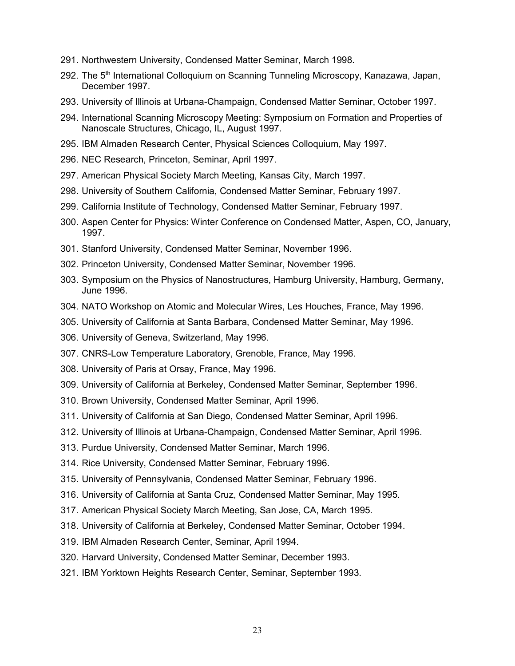- 291. Northwestern University, Condensed Matter Seminar, March 1998.
- 292. The 5<sup>th</sup> International Colloquium on Scanning Tunneling Microscopy, Kanazawa, Japan, December 1997.
- 293. University of Illinois at Urbana-Champaign, Condensed Matter Seminar, October 1997.
- 294. International Scanning Microscopy Meeting: Symposium on Formation and Properties of Nanoscale Structures, Chicago, IL, August 1997.
- 295. IBM Almaden Research Center, Physical Sciences Colloquium, May 1997.
- 296. NEC Research, Princeton, Seminar, April 1997.
- 297. American Physical Society March Meeting, Kansas City, March 1997.
- 298. University of Southern California, Condensed Matter Seminar, February 1997.
- 299. California Institute of Technology, Condensed Matter Seminar, February 1997.
- 300. Aspen Center for Physics: Winter Conference on Condensed Matter, Aspen, CO, January, 1997.
- 301. Stanford University, Condensed Matter Seminar, November 1996.
- 302. Princeton University, Condensed Matter Seminar, November 1996.
- 303. Symposium on the Physics of Nanostructures, Hamburg University, Hamburg, Germany, June 1996.
- 304. NATO Workshop on Atomic and Molecular Wires, Les Houches, France, May 1996.
- 305. University of California at Santa Barbara, Condensed Matter Seminar, May 1996.
- 306. University of Geneva, Switzerland, May 1996.
- 307. CNRS-Low Temperature Laboratory, Grenoble, France, May 1996.
- 308. University of Paris at Orsay, France, May 1996.
- 309. University of California at Berkeley, Condensed Matter Seminar, September 1996.
- 310. Brown University, Condensed Matter Seminar, April 1996.
- 311. University of California at San Diego, Condensed Matter Seminar, April 1996.
- 312. University of Illinois at Urbana-Champaign, Condensed Matter Seminar, April 1996.
- 313. Purdue University, Condensed Matter Seminar, March 1996.
- 314. Rice University, Condensed Matter Seminar, February 1996.
- 315. University of Pennsylvania, Condensed Matter Seminar, February 1996.
- 316. University of California at Santa Cruz, Condensed Matter Seminar, May 1995.
- 317. American Physical Society March Meeting, San Jose, CA, March 1995.
- 318. University of California at Berkeley, Condensed Matter Seminar, October 1994.
- 319. IBM Almaden Research Center, Seminar, April 1994.
- 320. Harvard University, Condensed Matter Seminar, December 1993.
- 321. IBM Yorktown Heights Research Center, Seminar, September 1993.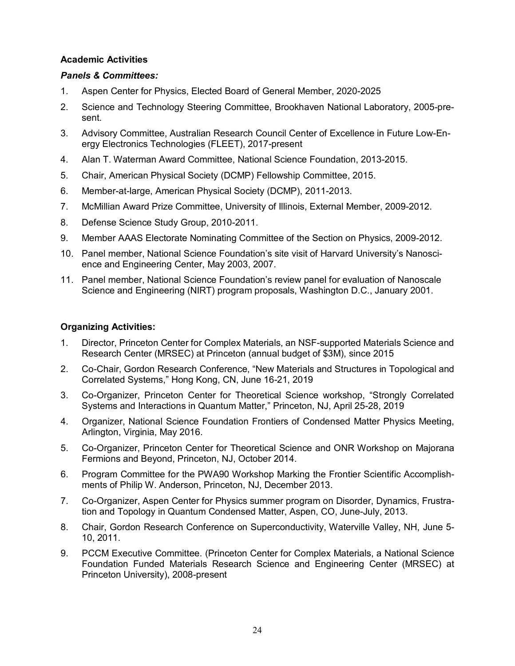# **Academic Activities**

## *Panels & Committees:*

- 1. Aspen Center for Physics, Elected Board of General Member, 2020-2025
- 2. Science and Technology Steering Committee, Brookhaven National Laboratory, 2005-present.
- 3. Advisory Committee, Australian Research Council Center of Excellence in Future Low-Energy Electronics Technologies (FLEET), 2017-present
- 4. Alan T. Waterman Award Committee, National Science Foundation, 2013-2015.
- 5. Chair, American Physical Society (DCMP) Fellowship Committee, 2015.
- 6. Member-at-large, American Physical Society (DCMP), 2011-2013.
- 7. McMillian Award Prize Committee, University of Illinois, External Member, 2009-2012.
- 8. Defense Science Study Group, 2010-2011.
- 9. Member AAAS Electorate Nominating Committee of the Section on Physics, 2009-2012.
- 10. Panel member, National Science Foundation's site visit of Harvard University's Nanoscience and Engineering Center, May 2003, 2007.
- 11. Panel member, National Science Foundation's review panel for evaluation of Nanoscale Science and Engineering (NIRT) program proposals, Washington D.C., January 2001.

# **Organizing Activities:**

- 1. Director, Princeton Center for Complex Materials, an NSF-supported Materials Science and Research Center (MRSEC) at Princeton (annual budget of \$3M), since 2015
- 2. Co-Chair, Gordon Research Conference, "New Materials and Structures in Topological and Correlated Systems," Hong Kong, CN, June 16-21, 2019
- 3. Co-Organizer, Princeton Center for Theoretical Science workshop, "Strongly Correlated Systems and Interactions in Quantum Matter," Princeton, NJ, April 25-28, 2019
- 4. Organizer, National Science Foundation Frontiers of Condensed Matter Physics Meeting, Arlington, Virginia, May 2016.
- 5. Co-Organizer, Princeton Center for Theoretical Science and ONR Workshop on Majorana Fermions and Beyond, Princeton, NJ, October 2014.
- 6. Program Committee for the PWA90 Workshop Marking the Frontier Scientific Accomplishments of Philip W. Anderson, Princeton, NJ, December 2013.
- 7. Co-Organizer, Aspen Center for Physics summer program on Disorder, Dynamics, Frustration and Topology in Quantum Condensed Matter, Aspen, CO, June-July, 2013.
- 8. Chair, Gordon Research Conference on Superconductivity, Waterville Valley, NH, June 5- 10, 2011.
- 9. PCCM Executive Committee. (Princeton Center for Complex Materials, a National Science Foundation Funded Materials Research Science and Engineering Center (MRSEC) at Princeton University), 2008-present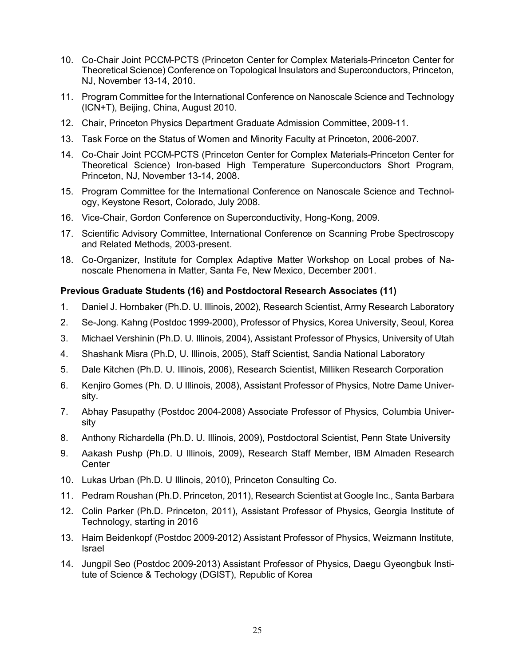- 10. Co-Chair Joint PCCM-PCTS (Princeton Center for Complex Materials-Princeton Center for Theoretical Science) Conference on Topological Insulators and Superconductors, Princeton, NJ, November 13-14, 2010.
- 11. Program Committee for the International Conference on Nanoscale Science and Technology (ICN+T), Beijing, China, August 2010.
- 12. Chair, Princeton Physics Department Graduate Admission Committee, 2009-11.
- 13. Task Force on the Status of Women and Minority Faculty at Princeton, 2006-2007.
- 14. Co-Chair Joint PCCM-PCTS (Princeton Center for Complex Materials-Princeton Center for Theoretical Science) Iron-based High Temperature Superconductors Short Program, Princeton, NJ, November 13-14, 2008.
- 15. Program Committee for the International Conference on Nanoscale Science and Technology, Keystone Resort, Colorado, July 2008.
- 16. Vice-Chair, Gordon Conference on Superconductivity, Hong-Kong, 2009.
- 17. Scientific Advisory Committee, International Conference on Scanning Probe Spectroscopy and Related Methods, 2003-present.
- 18. Co-Organizer, Institute for Complex Adaptive Matter Workshop on Local probes of Nanoscale Phenomena in Matter, Santa Fe, New Mexico, December 2001.

#### **Previous Graduate Students (16) and Postdoctoral Research Associates (11)**

- 1. Daniel J. Hornbaker (Ph.D. U. Illinois, 2002), Research Scientist, Army Research Laboratory
- 2. Se-Jong. Kahng (Postdoc 1999-2000), Professor of Physics, Korea University, Seoul, Korea
- 3. Michael Vershinin (Ph.D. U. Illinois, 2004), Assistant Professor of Physics, University of Utah
- 4. Shashank Misra (Ph.D, U. Illinois, 2005), Staff Scientist, Sandia National Laboratory
- 5. Dale Kitchen (Ph.D. U. Illinois, 2006), Research Scientist, Milliken Research Corporation
- 6. Kenjiro Gomes (Ph. D. U Illinois, 2008), Assistant Professor of Physics, Notre Dame University.
- 7. Abhay Pasupathy (Postdoc 2004-2008) Associate Professor of Physics, Columbia University
- 8. Anthony Richardella (Ph.D. U. Illinois, 2009), Postdoctoral Scientist, Penn State University
- 9. Aakash Pushp (Ph.D. U Illinois, 2009), Research Staff Member, IBM Almaden Research **Center**
- 10. Lukas Urban (Ph.D. U Illinois, 2010), Princeton Consulting Co.
- 11. Pedram Roushan (Ph.D. Princeton, 2011), Research Scientist at Google Inc., Santa Barbara
- 12. Colin Parker (Ph.D. Princeton, 2011), Assistant Professor of Physics, Georgia Institute of Technology, starting in 2016
- 13. Haim Beidenkopf (Postdoc 2009-2012) Assistant Professor of Physics, Weizmann Institute, Israel
- 14. Jungpil Seo (Postdoc 2009-2013) Assistant Professor of Physics, Daegu Gyeongbuk Institute of Science & Techology (DGIST), Republic of Korea